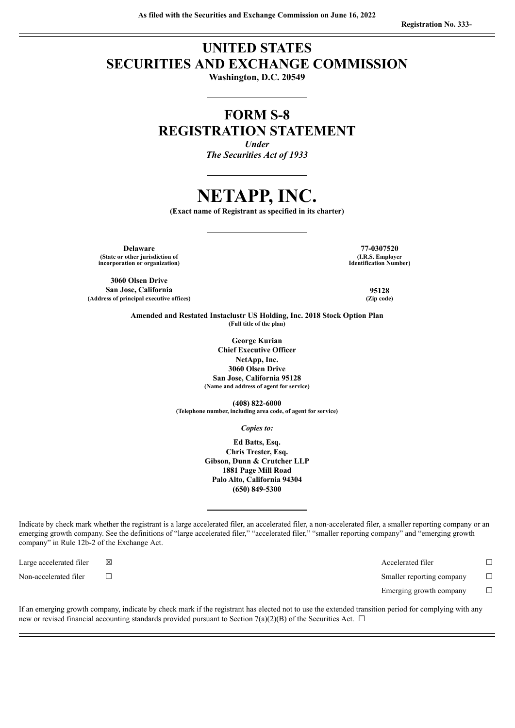# **UNITED STATES SECURITIES AND EXCHANGE COMMISSION**

**Washington, D.C. 20549**

## **FORM S-8 REGISTRATION STATEMENT**

*Under The Securities Act of 1933*

# **NETAPP, INC.**

**(Exact name of Registrant as specified in its charter)**

**Delaware 77-0307520 (State or other jurisdiction of incorporation or organization)**

**3060 Olsen Drive San Jose, California 95128 (Address of principal executive offices) (Zip code)**

**(I.R.S. Employer Identification Number)**

**Amended and Restated Instaclustr US Holding, Inc. 2018 Stock Option Plan (Full title of the plan)**

> **George Kurian Chief Executive Officer NetApp, Inc. 3060 Olsen Drive San Jose, California 95128 (Name and address of agent for service)**

**(408) 822-6000 (Telephone number, including area code, of agent for service)**

*Copies to:*

**Ed Batts, Esq. Chris Trester, Esq. Gibson, Dunn & Crutcher LLP 1881 Page Mill Road Palo Alto, California 94304 (650) 849-5300**

Indicate by check mark whether the registrant is a large accelerated filer, an accelerated filer, a non-accelerated filer, a smaller reporting company or an emerging growth company. See the definitions of "large accelerated filer," "accelerated filer," "smaller reporting company" and "emerging growth company" in Rule 12b-2 of the Exchange Act.

Non-accelerated filer <del>□</del> □

Large accelerated filer ☒ Accelerated filer ☐

Emerging growth company  $\Box$ 

If an emerging growth company, indicate by check mark if the registrant has elected not to use the extended transition period for complying with any new or revised financial accounting standards provided pursuant to Section 7(a)(2)(B) of the Securities Act.  $\Box$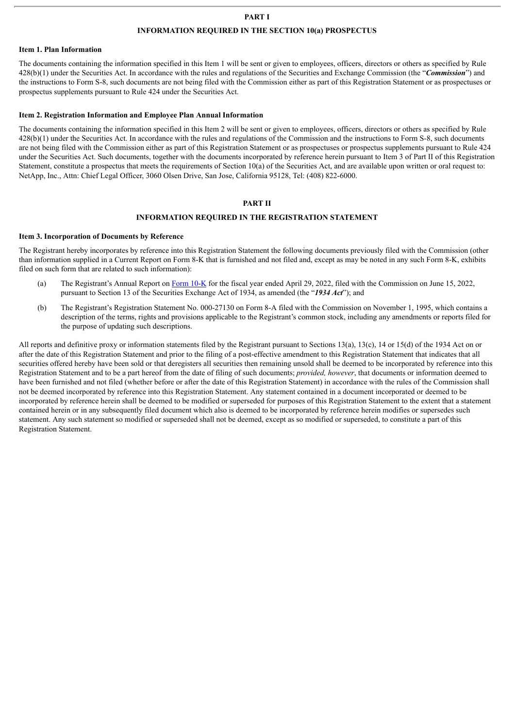## **PART I**

#### **INFORMATION REQUIRED IN THE SECTION 10(a) PROSPECTUS**

#### **Item 1. Plan Information**

The documents containing the information specified in this Item 1 will be sent or given to employees, officers, directors or others as specified by Rule 428(b)(1) under the Securities Act. In accordance with the rules and regulations of the Securities and Exchange Commission (the "*Commission*") and the instructions to Form S-8, such documents are not being filed with the Commission either as part of this Registration Statement or as prospectuses or prospectus supplements pursuant to Rule 424 under the Securities Act.

#### **Item 2. Registration Information and Employee Plan Annual Information**

The documents containing the information specified in this Item 2 will be sent or given to employees, officers, directors or others as specified by Rule 428(b)(1) under the Securities Act. In accordance with the rules and regulations of the Commission and the instructions to Form S-8, such documents are not being filed with the Commission either as part of this Registration Statement or as prospectuses or prospectus supplements pursuant to Rule 424 under the Securities Act. Such documents, together with the documents incorporated by reference herein pursuant to Item 3 of Part II of this Registration Statement, constitute a prospectus that meets the requirements of Section 10(a) of the Securities Act, and are available upon written or oral request to: NetApp, Inc., Attn: Chief Legal Officer, 3060 Olsen Drive, San Jose, California 95128, Tel: (408) 822-6000.

#### **PART II**

#### **INFORMATION REQUIRED IN THE REGISTRATION STATEMENT**

#### **Item 3. Incorporation of Documents by Reference**

The Registrant hereby incorporates by reference into this Registration Statement the following documents previously filed with the Commission (other than information supplied in a Current Report on Form 8-K that is furnished and not filed and, except as may be noted in any such Form 8-K, exhibits filed on such form that are related to such information):

- (a) The Registrant's Annual Report on [Form](http://www.sec.gov/ix?doc=/Archives/edgar/data/0001002047/000095017022011708/ntap-20220429.htm) 10-K for the fiscal year ended April 29, 2022, filed with the Commission on June 15, 2022, pursuant to Section 13 of the Securities Exchange Act of 1934, as amended (the "*1934 Act*"); and
- (b) The Registrant's Registration Statement No. 000-27130 on Form 8-A filed with the Commission on November 1, 1995, which contains a description of the terms, rights and provisions applicable to the Registrant's common stock, including any amendments or reports filed for the purpose of updating such descriptions.

All reports and definitive proxy or information statements filed by the Registrant pursuant to Sections 13(a), 13(c), 14 or 15(d) of the 1934 Act on or after the date of this Registration Statement and prior to the filing of a post-effective amendment to this Registration Statement that indicates that all securities offered hereby have been sold or that deregisters all securities then remaining unsold shall be deemed to be incorporated by reference into this Registration Statement and to be a part hereof from the date of filing of such documents; *provided, however*, that documents or information deemed to have been furnished and not filed (whether before or after the date of this Registration Statement) in accordance with the rules of the Commission shall not be deemed incorporated by reference into this Registration Statement. Any statement contained in a document incorporated or deemed to be incorporated by reference herein shall be deemed to be modified or superseded for purposes of this Registration Statement to the extent that a statement contained herein or in any subsequently filed document which also is deemed to be incorporated by reference herein modifies or supersedes such statement. Any such statement so modified or superseded shall not be deemed, except as so modified or superseded, to constitute a part of this Registration Statement.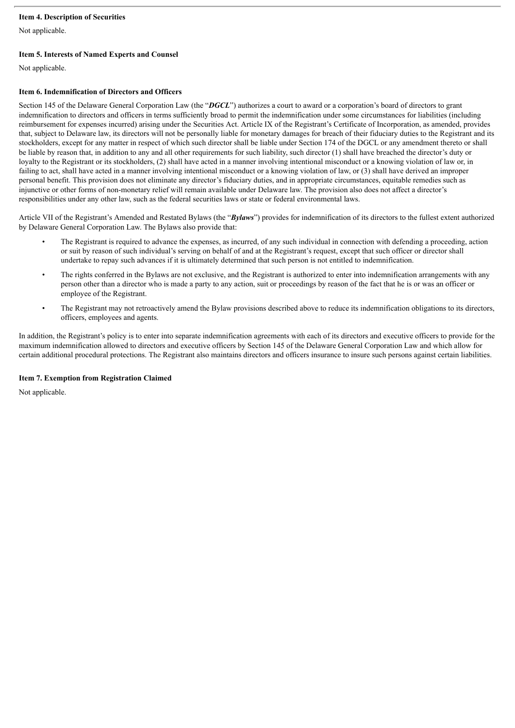## **Item 4. Description of Securities**

Not applicable.

## **Item 5. Interests of Named Experts and Counsel**

Not applicable.

#### **Item 6. Indemnification of Directors and Officers**

Section 145 of the Delaware General Corporation Law (the "*DGCL*") authorizes a court to award or a corporation's board of directors to grant indemnification to directors and officers in terms sufficiently broad to permit the indemnification under some circumstances for liabilities (including reimbursement for expenses incurred) arising under the Securities Act. Article IX of the Registrant's Certificate of Incorporation, as amended, provides that, subject to Delaware law, its directors will not be personally liable for monetary damages for breach of their fiduciary duties to the Registrant and its stockholders, except for any matter in respect of which such director shall be liable under Section 174 of the DGCL or any amendment thereto or shall be liable by reason that, in addition to any and all other requirements for such liability, such director (1) shall have breached the director's duty or loyalty to the Registrant or its stockholders, (2) shall have acted in a manner involving intentional misconduct or a knowing violation of law or, in failing to act, shall have acted in a manner involving intentional misconduct or a knowing violation of law, or (3) shall have derived an improper personal benefit. This provision does not eliminate any director's fiduciary duties, and in appropriate circumstances, equitable remedies such as injunctive or other forms of non-monetary relief will remain available under Delaware law. The provision also does not affect a director's responsibilities under any other law, such as the federal securities laws or state or federal environmental laws.

Article VII of the Registrant's Amended and Restated Bylaws (the "*Bylaws*") provides for indemnification of its directors to the fullest extent authorized by Delaware General Corporation Law. The Bylaws also provide that:

- The Registrant is required to advance the expenses, as incurred, of any such individual in connection with defending a proceeding, action or suit by reason of such individual's serving on behalf of and at the Registrant's request, except that such officer or director shall undertake to repay such advances if it is ultimately determined that such person is not entitled to indemnification.
- The rights conferred in the Bylaws are not exclusive, and the Registrant is authorized to enter into indemnification arrangements with any person other than a director who is made a party to any action, suit or proceedings by reason of the fact that he is or was an officer or employee of the Registrant.
- The Registrant may not retroactively amend the Bylaw provisions described above to reduce its indemnification obligations to its directors, officers, employees and agents.

In addition, the Registrant's policy is to enter into separate indemnification agreements with each of its directors and executive officers to provide for the maximum indemnification allowed to directors and executive officers by Section 145 of the Delaware General Corporation Law and which allow for certain additional procedural protections. The Registrant also maintains directors and officers insurance to insure such persons against certain liabilities.

## **Item 7. Exemption from Registration Claimed**

Not applicable.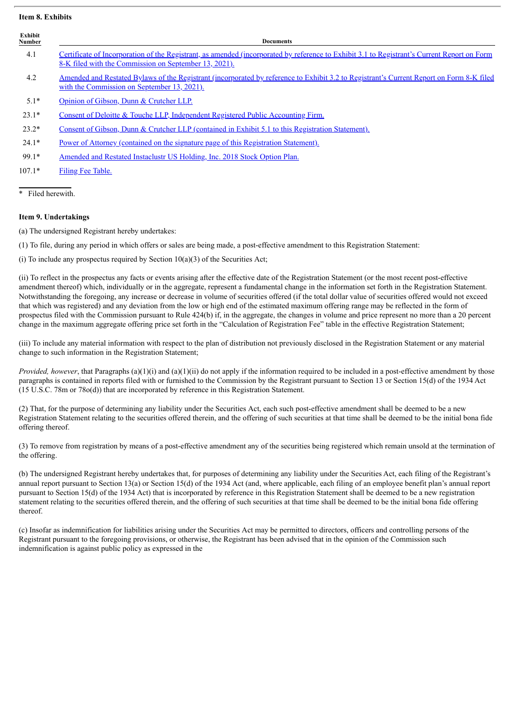#### **Item 8. Exhibits**

| Exhibit<br>Number | <b>Documents</b>                                                                                                                                                                                     |
|-------------------|------------------------------------------------------------------------------------------------------------------------------------------------------------------------------------------------------|
| 4.1               | Certificate of Incorporation of the Registrant, as amended (incorporated by reference to Exhibit 3.1 to Registrant's Current Report on Form<br>8-K filed with the Commission on September 13, 2021). |
| 4.2               | Amended and Restated Bylaws of the Registrant (incorporated by reference to Exhibit 3.2 to Registrant's Current Report on Form 8-K filed<br>with the Commission on September 13, 2021).              |
| $5.1*$            | Opinion of Gibson, Dunn & Crutcher LLP.                                                                                                                                                              |
| $23.1*$           | Consent of Deloitte & Touche LLP, Independent Registered Public Accounting Firm.                                                                                                                     |
| $23.2*$           | Consent of Gibson, Dunn & Crutcher LLP (contained in Exhibit 5.1 to this Registration Statement).                                                                                                    |
| $24.1*$           | Power of Attorney (contained on the signature page of this Registration Statement).                                                                                                                  |
| $99.1*$           | Amended and Restated Instaclustr US Holding, Inc. 2018 Stock Option Plan.                                                                                                                            |
| $107.1*$          | Filing Fee Table.                                                                                                                                                                                    |
|                   |                                                                                                                                                                                                      |

Filed herewith.

## **Item 9. Undertakings**

(a) The undersigned Registrant hereby undertakes:

(1) To file, during any period in which offers or sales are being made, a post-effective amendment to this Registration Statement:

(i) To include any prospectus required by Section  $10(a)(3)$  of the Securities Act;

(ii) To reflect in the prospectus any facts or events arising after the effective date of the Registration Statement (or the most recent post-effective amendment thereof) which, individually or in the aggregate, represent a fundamental change in the information set forth in the Registration Statement. Notwithstanding the foregoing, any increase or decrease in volume of securities offered (if the total dollar value of securities offered would not exceed that which was registered) and any deviation from the low or high end of the estimated maximum offering range may be reflected in the form of prospectus filed with the Commission pursuant to Rule 424(b) if, in the aggregate, the changes in volume and price represent no more than a 20 percent change in the maximum aggregate offering price set forth in the "Calculation of Registration Fee" table in the effective Registration Statement;

(iii) To include any material information with respect to the plan of distribution not previously disclosed in the Registration Statement or any material change to such information in the Registration Statement;

*Provided, however*, that Paragraphs (a)(1)(i) and (a)(1)(ii) do not apply if the information required to be included in a post-effective amendment by those paragraphs is contained in reports filed with or furnished to the Commission by the Registrant pursuant to Section 13 or Section 15(d) of the 1934 Act (15 U.S.C. 78m or 78o(d)) that are incorporated by reference in this Registration Statement.

(2) That, for the purpose of determining any liability under the Securities Act, each such post-effective amendment shall be deemed to be a new Registration Statement relating to the securities offered therein, and the offering of such securities at that time shall be deemed to be the initial bona fide offering thereof.

(3) To remove from registration by means of a post-effective amendment any of the securities being registered which remain unsold at the termination of the offering.

(b) The undersigned Registrant hereby undertakes that, for purposes of determining any liability under the Securities Act, each filing of the Registrant's annual report pursuant to Section 13(a) or Section 15(d) of the 1934 Act (and, where applicable, each filing of an employee benefit plan's annual report pursuant to Section 15(d) of the 1934 Act) that is incorporated by reference in this Registration Statement shall be deemed to be a new registration statement relating to the securities offered therein, and the offering of such securities at that time shall be deemed to be the initial bona fide offering thereof.

(c) Insofar as indemnification for liabilities arising under the Securities Act may be permitted to directors, officers and controlling persons of the Registrant pursuant to the foregoing provisions, or otherwise, the Registrant has been advised that in the opinion of the Commission such indemnification is against public policy as expressed in the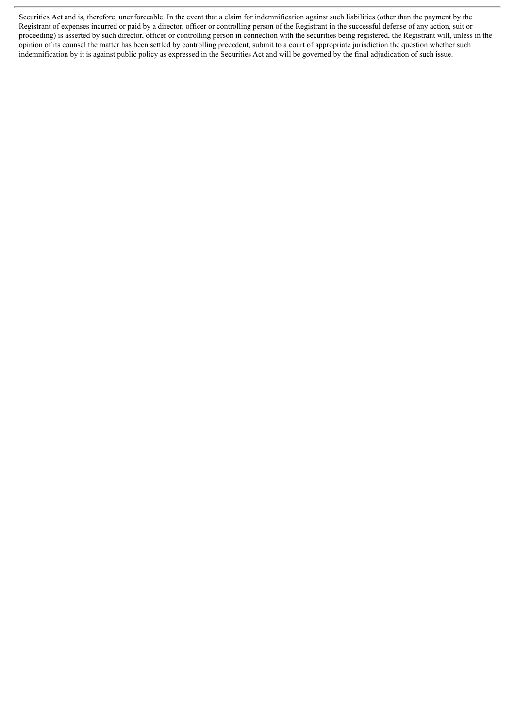Securities Act and is, therefore, unenforceable. In the event that a claim for indemnification against such liabilities (other than the payment by the Registrant of expenses incurred or paid by a director, officer or controlling person of the Registrant in the successful defense of any action, suit or proceeding) is asserted by such director, officer or controlling person in connection with the securities being registered, the Registrant will, unless in the opinion of its counsel the matter has been settled by controlling precedent, submit to a court of appropriate jurisdiction the question whether such indemnification by it is against public policy as expressed in the Securities Act and will be governed by the final adjudication of such issue.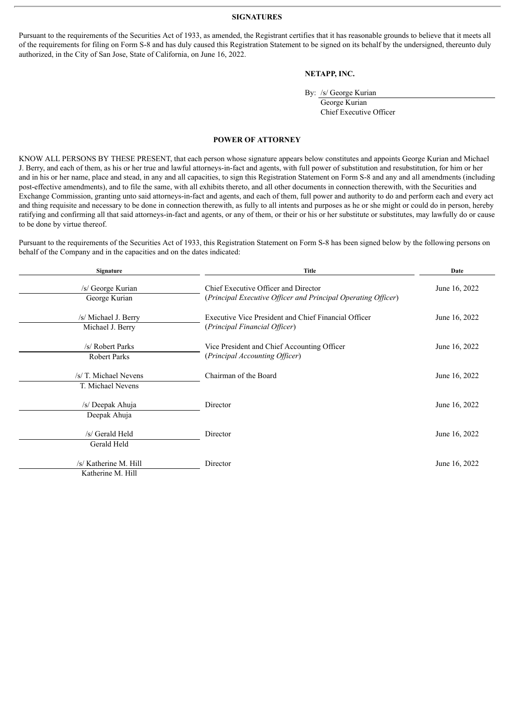#### **SIGNATURES**

<span id="page-5-0"></span>Pursuant to the requirements of the Securities Act of 1933, as amended, the Registrant certifies that it has reasonable grounds to believe that it meets all of the requirements for filing on Form S-8 and has duly caused this Registration Statement to be signed on its behalf by the undersigned, thereunto duly authorized, in the City of San Jose, State of California, on June 16, 2022.

### **NETAPP, INC.**

By: /s/ George Kurian

George Kurian Chief Executive Officer

## **POWER OF ATTORNEY**

KNOW ALL PERSONS BY THESE PRESENT, that each person whose signature appears below constitutes and appoints George Kurian and Michael J. Berry, and each of them, as his or her true and lawful attorneys-in-fact and agents, with full power of substitution and resubstitution, for him or her and in his or her name, place and stead, in any and all capacities, to sign this Registration Statement on Form S-8 and any and all amendments (including post-effective amendments), and to file the same, with all exhibits thereto, and all other documents in connection therewith, with the Securities and Exchange Commission, granting unto said attorneys-in-fact and agents, and each of them, full power and authority to do and perform each and every act and thing requisite and necessary to be done in connection therewith, as fully to all intents and purposes as he or she might or could do in person, hereby ratifying and confirming all that said attorneys-in-fact and agents, or any of them, or their or his or her substitute or substitutes, may lawfully do or cause to be done by virtue thereof.

Pursuant to the requirements of the Securities Act of 1933, this Registration Statement on Form S-8 has been signed below by the following persons on behalf of the Company and in the capacities and on the dates indicated:

| <b>Signature</b>                           | <b>Title</b>                                                                                          | Date          |  |
|--------------------------------------------|-------------------------------------------------------------------------------------------------------|---------------|--|
| /s/ George Kurian<br>George Kurian         | Chief Executive Officer and Director<br>(Principal Executive Officer and Principal Operating Officer) | June 16, 2022 |  |
| /s/ Michael J. Berry<br>Michael J. Berry   | Executive Vice President and Chief Financial Officer<br>(Principal Financial Officer)                 | June 16, 2022 |  |
| /s/ Robert Parks<br><b>Robert Parks</b>    | Vice President and Chief Accounting Officer<br>(Principal Accounting Officer)                         | June 16, 2022 |  |
| /s/ T. Michael Nevens<br>T. Michael Nevens | Chairman of the Board                                                                                 | June 16, 2022 |  |
| /s/ Deepak Ahuja<br>Deepak Ahuja           | Director                                                                                              | June 16, 2022 |  |
| /s/ Gerald Held<br>Gerald Held             | Director                                                                                              | June 16, 2022 |  |
| /s/ Katherine M. Hill<br>Katherine M. Hill | Director                                                                                              | June 16, 2022 |  |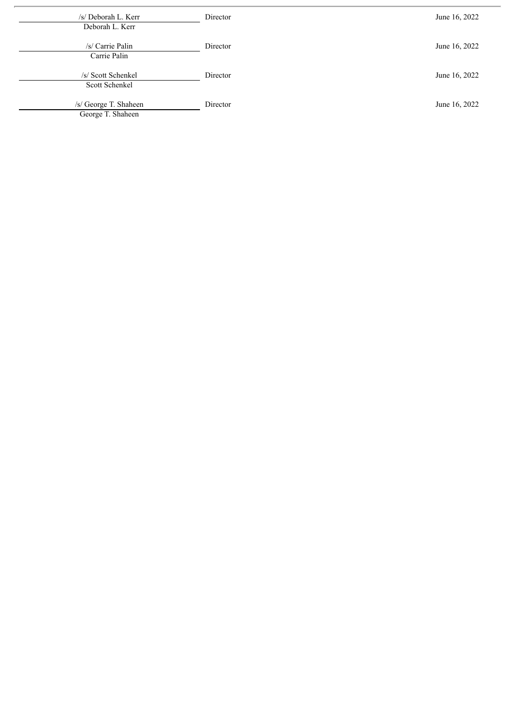| /s/ Deborah L. Kerr<br>Deborah L. Kerr     | Director | June 16, 2022 |
|--------------------------------------------|----------|---------------|
| /s/ Carrie Palin<br>Carrie Palin           | Director | June 16, 2022 |
| /s/ Scott Schenkel<br>Scott Schenkel       | Director | June 16, 2022 |
| /s/ George T. Shaheen<br>George T. Shaheen | Director | June 16, 2022 |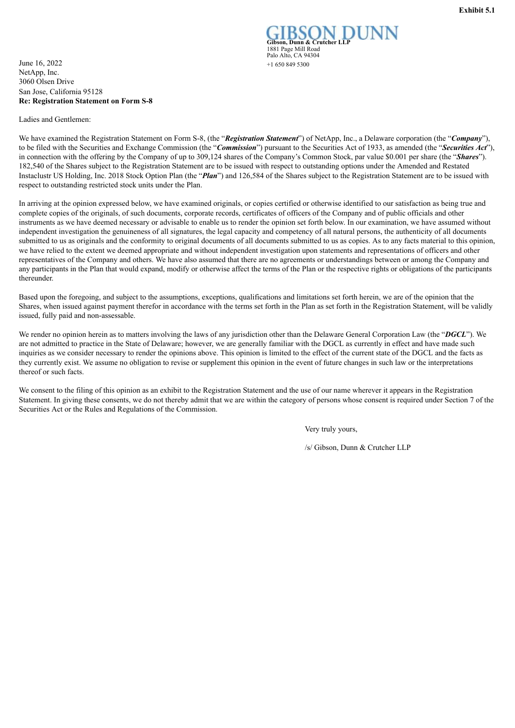<span id="page-7-0"></span>June 16, 2022  $+16508495300$ NetApp, Inc. 3060 Olsen Drive San Jose, California 95128 **Re: Registration Statement on Form S-8**

Ladies and Gentlemen:

**Gibson, Dunn & Crutcher LLP** 1881 Page Mill Road Palo Alto, CA 94304

We have examined the Registration Statement on Form S-8, (the "*Registration Statement*") of NetApp, Inc., a Delaware corporation (the "*Company*"), to be filed with the Securities and Exchange Commission (the "*Commission*") pursuant to the Securities Act of 1933, as amended (the "*Securities Act*"), in connection with the offering by the Company of up to 309,124 shares of the Company's Common Stock, par value \$0.001 per share (the "*Shares*"). 182,540 of the Shares subject to the Registration Statement are to be issued with respect to outstanding options under the Amended and Restated Instaclustr US Holding, Inc. 2018 Stock Option Plan (the "*Plan*") and 126,584 of the Shares subject to the Registration Statement are to be issued with respect to outstanding restricted stock units under the Plan.

In arriving at the opinion expressed below, we have examined originals, or copies certified or otherwise identified to our satisfaction as being true and complete copies of the originals, of such documents, corporate records, certificates of officers of the Company and of public officials and other instruments as we have deemed necessary or advisable to enable us to render the opinion set forth below. In our examination, we have assumed without independent investigation the genuineness of all signatures, the legal capacity and competency of all natural persons, the authenticity of all documents submitted to us as originals and the conformity to original documents of all documents submitted to us as copies. As to any facts material to this opinion, we have relied to the extent we deemed appropriate and without independent investigation upon statements and representations of officers and other representatives of the Company and others. We have also assumed that there are no agreements or understandings between or among the Company and any participants in the Plan that would expand, modify or otherwise affect the terms of the Plan or the respective rights or obligations of the participants thereunder.

Based upon the foregoing, and subject to the assumptions, exceptions, qualifications and limitations set forth herein, we are of the opinion that the Shares, when issued against payment therefor in accordance with the terms set forth in the Plan as set forth in the Registration Statement, will be validly issued, fully paid and non-assessable.

We render no opinion herein as to matters involving the laws of any jurisdiction other than the Delaware General Corporation Law (the "*DGCL*"). We are not admitted to practice in the State of Delaware; however, we are generally familiar with the DGCL as currently in effect and have made such inquiries as we consider necessary to render the opinions above. This opinion is limited to the effect of the current state of the DGCL and the facts as they currently exist. We assume no obligation to revise or supplement this opinion in the event of future changes in such law or the interpretations thereof or such facts.

We consent to the filing of this opinion as an exhibit to the Registration Statement and the use of our name wherever it appears in the Registration Statement. In giving these consents, we do not thereby admit that we are within the category of persons whose consent is required under Section 7 of the Securities Act or the Rules and Regulations of the Commission.

Very truly yours,

/s/ Gibson, Dunn & Crutcher LLP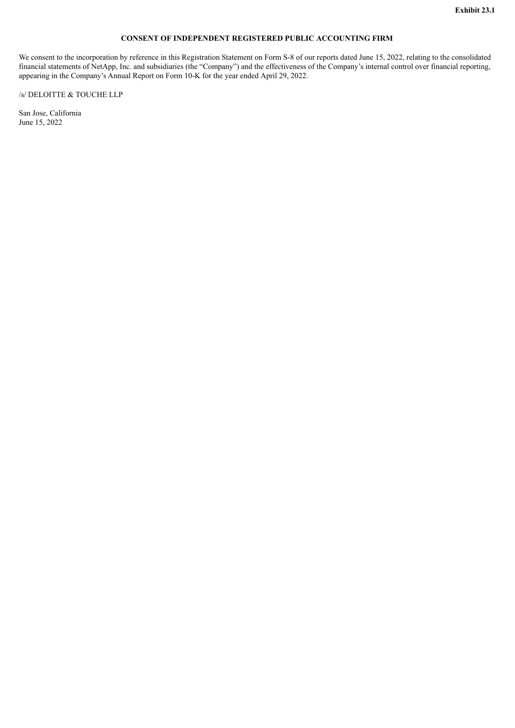## **CONSENT OF INDEPENDENT REGISTERED PUBLIC ACCOUNTING FIRM**

<span id="page-8-0"></span>We consent to the incorporation by reference in this Registration Statement on Form S-8 of our reports dated June 15, 2022, relating to the consolidated financial statements of NetApp, Inc. and subsidiaries (the "Company") and the effectiveness of the Company's internal control over financial reporting, appearing in the Company's Annual Report on Form 10-K for the year ended April 29, 2022.

## /s/ DELOITTE & TOUCHE LLP

San Jose, California June 15, 2022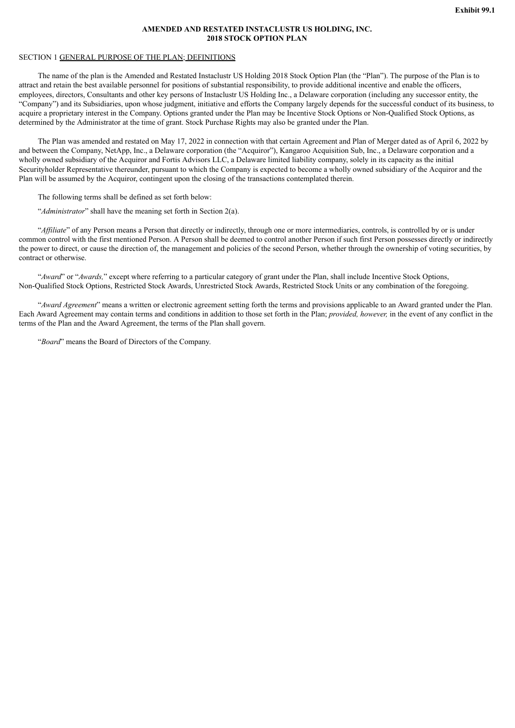#### **AMENDED AND RESTATED INSTACLUSTR US HOLDING, INC. 2018 STOCK OPTION PLAN**

## <span id="page-9-0"></span>SECTION 1 GENERAL PURPOSE OF THE PLAN; DEFINITIONS

The name of the plan is the Amended and Restated Instaclustr US Holding 2018 Stock Option Plan (the "Plan"). The purpose of the Plan is to attract and retain the best available personnel for positions of substantial responsibility, to provide additional incentive and enable the officers, employees, directors, Consultants and other key persons of Instaclustr US Holding Inc., a Delaware corporation (including any successor entity, the "Company") and its Subsidiaries, upon whose judgment, initiative and efforts the Company largely depends for the successful conduct of its business, to acquire a proprietary interest in the Company. Options granted under the Plan may be Incentive Stock Options or Non-Qualified Stock Options, as determined by the Administrator at the time of grant. Stock Purchase Rights may also be granted under the Plan.

The Plan was amended and restated on May 17, 2022 in connection with that certain Agreement and Plan of Merger dated as of April 6, 2022 by and between the Company, NetApp, Inc., a Delaware corporation (the "Acquiror"), Kangaroo Acquisition Sub, Inc., a Delaware corporation and a wholly owned subsidiary of the Acquiror and Fortis Advisors LLC, a Delaware limited liability company, solely in its capacity as the initial Securityholder Representative thereunder, pursuant to which the Company is expected to become a wholly owned subsidiary of the Acquiror and the Plan will be assumed by the Acquiror, contingent upon the closing of the transactions contemplated therein.

The following terms shall be defined as set forth below:

"*Administrator*" shall have the meaning set forth in Section 2(a).

"*Affiliate*" of any Person means a Person that directly or indirectly, through one or more intermediaries, controls, is controlled by or is under common control with the first mentioned Person. A Person shall be deemed to control another Person if such first Person possesses directly or indirectly the power to direct, or cause the direction of, the management and policies of the second Person, whether through the ownership of voting securities, by contract or otherwise.

"*Award*" or "*Awards,*" except where referring to a particular category of grant under the Plan, shall include Incentive Stock Options, Non-Qualified Stock Options, Restricted Stock Awards, Unrestricted Stock Awards, Restricted Stock Units or any combination of the foregoing.

"*Award Agreement*" means a written or electronic agreement setting forth the terms and provisions applicable to an Award granted under the Plan. Each Award Agreement may contain terms and conditions in addition to those set forth in the Plan; *provided, however,* in the event of any conflict in the terms of the Plan and the Award Agreement, the terms of the Plan shall govern.

"*Board*" means the Board of Directors of the Company.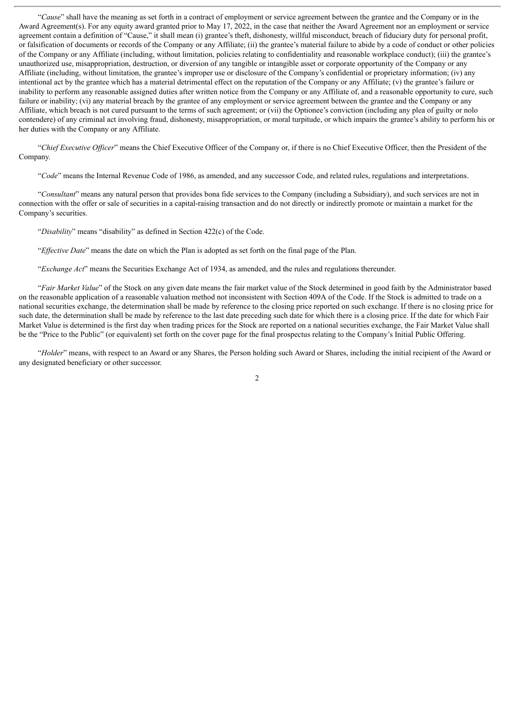"*Cause*" shall have the meaning as set forth in a contract of employment or service agreement between the grantee and the Company or in the Award Agreement(s). For any equity award granted prior to May 17, 2022, in the case that neither the Award Agreement nor an employment or service agreement contain a definition of "Cause," it shall mean (i) grantee's theft, dishonesty, willful misconduct, breach of fiduciary duty for personal profit, or falsification of documents or records of the Company or any Affiliate; (ii) the grantee's material failure to abide by a code of conduct or other policies of the Company or any Affiliate (including, without limitation, policies relating to confidentiality and reasonable workplace conduct); (iii) the grantee's unauthorized use, misappropriation, destruction, or diversion of any tangible or intangible asset or corporate opportunity of the Company or any Affiliate (including, without limitation, the grantee's improper use or disclosure of the Company's confidential or proprietary information; (iv) any intentional act by the grantee which has a material detrimental effect on the reputation of the Company or any Affiliate; (v) the grantee's failure or inability to perform any reasonable assigned duties after written notice from the Company or any Affiliate of, and a reasonable opportunity to cure, such failure or inability; (vi) any material breach by the grantee of any employment or service agreement between the grantee and the Company or any Affiliate, which breach is not cured pursuant to the terms of such agreement; or (vii) the Optionee's conviction (including any plea of guilty or nolo contendere) of any criminal act involving fraud, dishonesty, misappropriation, or moral turpitude, or which impairs the grantee's ability to perform his or her duties with the Company or any Affiliate.

"*Chief Executive Of icer*" means the Chief Executive Officer of the Company or, if there is no Chief Executive Officer, then the President of the Company.

"*Code*" means the Internal Revenue Code of 1986, as amended, and any successor Code, and related rules, regulations and interpretations.

"*Consultant*" means any natural person that provides bona fide services to the Company (including a Subsidiary), and such services are not in connection with the offer or sale of securities in a capital-raising transaction and do not directly or indirectly promote or maintain a market for the Company's securities.

"*Disability*" means "disability" as defined in Section 422(c) of the Code.

"*Ef ective Date*" means the date on which the Plan is adopted as set forth on the final page of the Plan.

"*Exchange Act*" means the Securities Exchange Act of 1934, as amended, and the rules and regulations thereunder.

"*Fair Market Value*" of the Stock on any given date means the fair market value of the Stock determined in good faith by the Administrator based on the reasonable application of a reasonable valuation method not inconsistent with Section 409A of the Code. If the Stock is admitted to trade on a national securities exchange, the determination shall be made by reference to the closing price reported on such exchange. If there is no closing price for such date, the determination shall be made by reference to the last date preceding such date for which there is a closing price. If the date for which Fair Market Value is determined is the first day when trading prices for the Stock are reported on a national securities exchange, the Fair Market Value shall be the "Price to the Public" (or equivalent) set forth on the cover page for the final prospectus relating to the Company's Initial Public Offering.

"*Holder*" means, with respect to an Award or any Shares, the Person holding such Award or Shares, including the initial recipient of the Award or any designated beneficiary or other successor.

 $\overline{2}$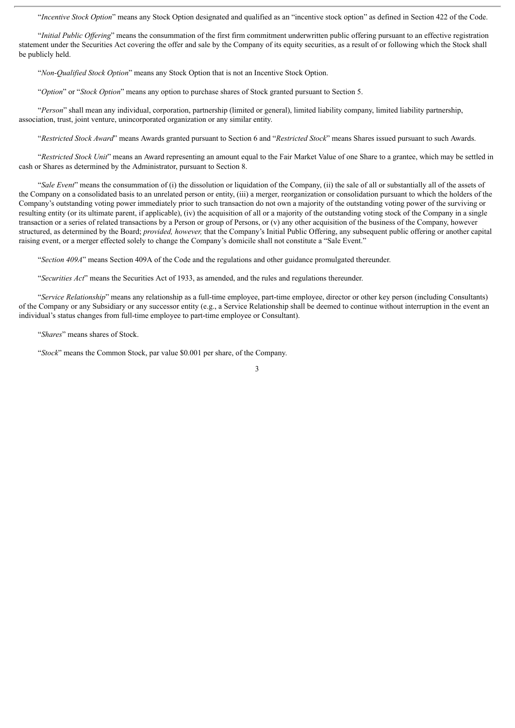"*Incentive Stock Option*" means any Stock Option designated and qualified as an "incentive stock option" as defined in Section 422 of the Code.

"*Initial Public Of ering*" means the consummation of the first firm commitment underwritten public offering pursuant to an effective registration statement under the Securities Act covering the offer and sale by the Company of its equity securities, as a result of or following which the Stock shall be publicly held.

"*Non-Qualified Stock Option*" means any Stock Option that is not an Incentive Stock Option.

"*Option*" or "*Stock Option*" means any option to purchase shares of Stock granted pursuant to Section 5.

"*Person*" shall mean any individual, corporation, partnership (limited or general), limited liability company, limited liability partnership, association, trust, joint venture, unincorporated organization or any similar entity.

"*Restricted Stock Award*" means Awards granted pursuant to Section 6 and "*Restricted Stock*" means Shares issued pursuant to such Awards.

"*Restricted Stock Unit*" means an Award representing an amount equal to the Fair Market Value of one Share to a grantee, which may be settled in cash or Shares as determined by the Administrator, pursuant to Section 8.

"*Sale Event*" means the consummation of (i) the dissolution or liquidation of the Company, (ii) the sale of all or substantially all of the assets of the Company on a consolidated basis to an unrelated person or entity, (iii) a merger, reorganization or consolidation pursuant to which the holders of the Company's outstanding voting power immediately prior to such transaction do not own a majority of the outstanding voting power of the surviving or resulting entity (or its ultimate parent, if applicable), (iv) the acquisition of all or a majority of the outstanding voting stock of the Company in a single transaction or a series of related transactions by a Person or group of Persons, or (v) any other acquisition of the business of the Company, however structured, as determined by the Board; *provided, however,* that the Company's Initial Public Offering, any subsequent public offering or another capital raising event, or a merger effected solely to change the Company's domicile shall not constitute a "Sale Event."

"*Section 409A*" means Section 409A of the Code and the regulations and other guidance promulgated thereunder.

"*Securities Act*" means the Securities Act of 1933, as amended, and the rules and regulations thereunder.

"*Service Relationship*" means any relationship as a full-time employee, part-time employee, director or other key person (including Consultants) of the Company or any Subsidiary or any successor entity (e.g., a Service Relationship shall be deemed to continue without interruption in the event an individual's status changes from full-time employee to part-time employee or Consultant).

"*Shares*" means shares of Stock.

"*Stock*" means the Common Stock, par value \$0.001 per share, of the Company.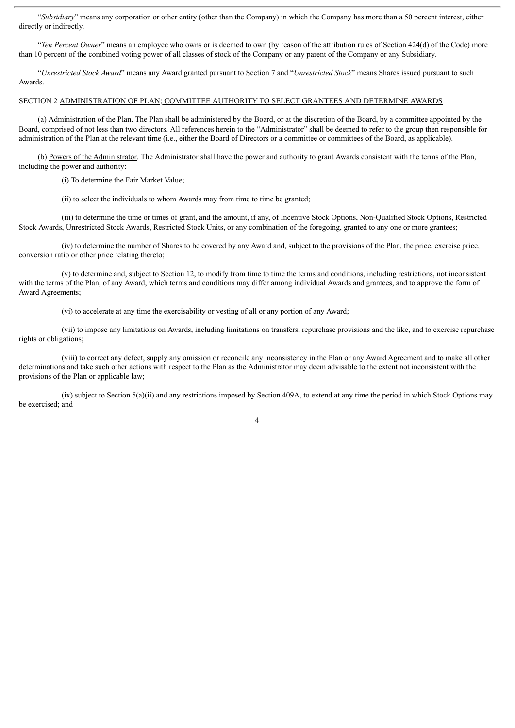"*Subsidiary*" means any corporation or other entity (other than the Company) in which the Company has more than a 50 percent interest, either directly or indirectly.

"*Ten Percent Owner*" means an employee who owns or is deemed to own (by reason of the attribution rules of Section 424(d) of the Code) more than 10 percent of the combined voting power of all classes of stock of the Company or any parent of the Company or any Subsidiary.

"*Unrestricted Stock Award*" means any Award granted pursuant to Section 7 and "*Unrestricted Stock*" means Shares issued pursuant to such Awards.

#### SECTION 2 ADMINISTRATION OF PLAN; COMMITTEE AUTHORITY TO SELECT GRANTEES AND DETERMINE AWARDS

(a) Administration of the Plan. The Plan shall be administered by the Board, or at the discretion of the Board, by a committee appointed by the Board, comprised of not less than two directors. All references herein to the "Administrator" shall be deemed to refer to the group then responsible for administration of the Plan at the relevant time (i.e., either the Board of Directors or a committee or committees of the Board, as applicable).

(b) Powers of the Administrator. The Administrator shall have the power and authority to grant Awards consistent with the terms of the Plan, including the power and authority:

(i) To determine the Fair Market Value;

(ii) to select the individuals to whom Awards may from time to time be granted;

(iii) to determine the time or times of grant, and the amount, if any, of Incentive Stock Options, Non-Qualified Stock Options, Restricted Stock Awards, Unrestricted Stock Awards, Restricted Stock Units, or any combination of the foregoing, granted to any one or more grantees;

(iv) to determine the number of Shares to be covered by any Award and, subject to the provisions of the Plan, the price, exercise price, conversion ratio or other price relating thereto;

(v) to determine and, subject to Section 12, to modify from time to time the terms and conditions, including restrictions, not inconsistent with the terms of the Plan, of any Award, which terms and conditions may differ among individual Awards and grantees, and to approve the form of Award Agreements;

(vi) to accelerate at any time the exercisability or vesting of all or any portion of any Award;

(vii) to impose any limitations on Awards, including limitations on transfers, repurchase provisions and the like, and to exercise repurchase rights or obligations;

(viii) to correct any defect, supply any omission or reconcile any inconsistency in the Plan or any Award Agreement and to make all other determinations and take such other actions with respect to the Plan as the Administrator may deem advisable to the extent not inconsistent with the provisions of the Plan or applicable law;

(ix) subject to Section 5(a)(ii) and any restrictions imposed by Section 409A, to extend at any time the period in which Stock Options may be exercised; and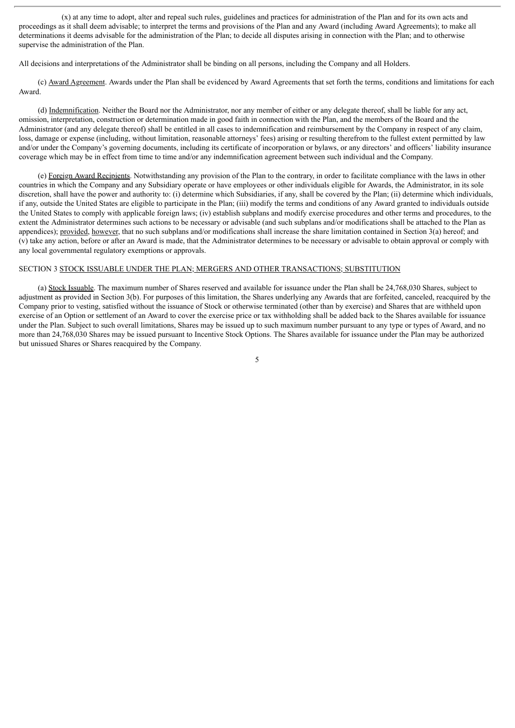(x) at any time to adopt, alter and repeal such rules, guidelines and practices for administration of the Plan and for its own acts and proceedings as it shall deem advisable; to interpret the terms and provisions of the Plan and any Award (including Award Agreements); to make all determinations it deems advisable for the administration of the Plan; to decide all disputes arising in connection with the Plan; and to otherwise supervise the administration of the Plan.

All decisions and interpretations of the Administrator shall be binding on all persons, including the Company and all Holders.

(c) Award Agreement. Awards under the Plan shall be evidenced by Award Agreements that set forth the terms, conditions and limitations for each Award.

(d) Indemnification. Neither the Board nor the Administrator, nor any member of either or any delegate thereof, shall be liable for any act, omission, interpretation, construction or determination made in good faith in connection with the Plan, and the members of the Board and the Administrator (and any delegate thereof) shall be entitled in all cases to indemnification and reimbursement by the Company in respect of any claim, loss, damage or expense (including, without limitation, reasonable attorneys' fees) arising or resulting therefrom to the fullest extent permitted by law and/or under the Company's governing documents, including its certificate of incorporation or bylaws, or any directors' and officers' liability insurance coverage which may be in effect from time to time and/or any indemnification agreement between such individual and the Company.

(e) Foreign Award Recipients. Notwithstanding any provision of the Plan to the contrary, in order to facilitate compliance with the laws in other countries in which the Company and any Subsidiary operate or have employees or other individuals eligible for Awards, the Administrator, in its sole discretion, shall have the power and authority to: (i) determine which Subsidiaries, if any, shall be covered by the Plan; (ii) determine which individuals, if any, outside the United States are eligible to participate in the Plan; (iii) modify the terms and conditions of any Award granted to individuals outside the United States to comply with applicable foreign laws; (iv) establish subplans and modify exercise procedures and other terms and procedures, to the extent the Administrator determines such actions to be necessary or advisable (and such subplans and/or modifications shall be attached to the Plan as appendices); provided, however, that no such subplans and/or modifications shall increase the share limitation contained in Section 3(a) hereof; and (v) take any action, before or after an Award is made, that the Administrator determines to be necessary or advisable to obtain approval or comply with any local governmental regulatory exemptions or approvals.

## SECTION 3 STOCK ISSUABLE UNDER THE PLAN; MERGERS AND OTHER TRANSACTIONS; SUBSTITUTION

(a) Stock Issuable. The maximum number of Shares reserved and available for issuance under the Plan shall be 24,768,030 Shares, subject to adjustment as provided in Section 3(b). For purposes of this limitation, the Shares underlying any Awards that are forfeited, canceled, reacquired by the Company prior to vesting, satisfied without the issuance of Stock or otherwise terminated (other than by exercise) and Shares that are withheld upon exercise of an Option or settlement of an Award to cover the exercise price or tax withholding shall be added back to the Shares available for issuance under the Plan. Subject to such overall limitations, Shares may be issued up to such maximum number pursuant to any type or types of Award, and no more than 24,768,030 Shares may be issued pursuant to Incentive Stock Options. The Shares available for issuance under the Plan may be authorized but unissued Shares or Shares reacquired by the Company.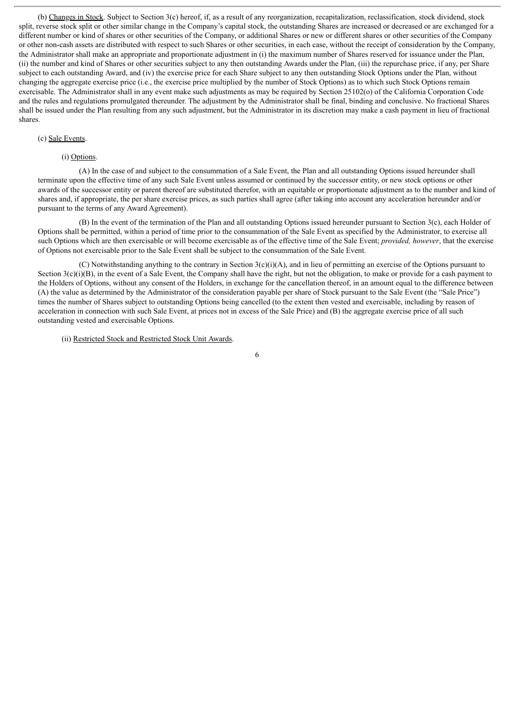(b) Changes in Stock. Subject to Section 3(c) hereof, if, as a result of any reorganization, recapitalization, reclassification, stock dividend, stock split, reverse stock split or other similar change in the Company's capital stock, the outstanding Shares are increased or decreased or are exchanged for a different number or kind of shares or other securities of the Company, or additional Shares or new or different shares or other securities of the Company or other non-cash assets are distributed with respect to such Shares or other securities, in each case, without the receipt of consideration by the Company, the Administrator shall make an appropriate and proportionate adjustment in (i) the maximum number of Shares reserved for issuance under the Plan, (ii) the number and kind of Shares or other securities subject to any then outstanding Awards under the Plan, (iii) the repurchase price, if any, per Share subject to each outstanding Award, and (iv) the exercise price for each Share subject to any then outstanding Stock Options under the Plan, without changing the aggregate exercise price (i.e., the exercise price multiplied by the number of Stock Options) as to which such Stock Options remain exercisable. The Administrator shall in any event make such adjustments as may be required by Section 25102(o) of the California Corporation Code and the rules and regulations promulgated thereunder. The adjustment by the Administrator shall be final, binding and conclusive. No fractional Shares shall be issued under the Plan resulting from any such adjustment, but the Administrator in its discretion may make a cash payment in lieu of fractional shares.

#### (c) Sale Events.

#### (i) Options.

(A) In the case of and subject to the consummation of a Sale Event, the Plan and all outstanding Options issued hereunder shall terminate upon the effective time of any such Sale Event unless assumed or continued by the successor entity, or new stock options or other awards of the successor entity or parent thereof are substituted therefor, with an equitable or proportionate adjustment as to the number and kind of shares and, if appropriate, the per share exercise prices, as such parties shall agree (after taking into account any acceleration hereunder and/or pursuant to the terms of any Award Agreement).

(B) In the event of the termination of the Plan and all outstanding Options issued hereunder pursuant to Section 3(c), each Holder of Options shall be permitted, within a period of time prior to the consummation of the Sale Event as specified by the Administrator, to exercise all such Options which are then exercisable or will become exercisable as of the effective time of the Sale Event; *provided, however*, that the exercise of Options not exercisable prior to the Sale Event shall be subject to the consummation of the Sale Event.

(C) Notwithstanding anything to the contrary in Section  $3(c)(i)(A)$ , and in lieu of permitting an exercise of the Options pursuant to Section  $3(c)(i)(B)$ , in the event of a Sale Event, the Company shall have the right, but not the obligation, to make or provide for a cash payment to the Holders of Options, without any consent of the Holders, in exchange for the cancellation thereof, in an amount equal to the difference between (A) the value as determined by the Administrator of the consideration payable per share of Stock pursuant to the Sale Event (the "Sale Price") times the number of Shares subject to outstanding Options being cancelled (to the extent then vested and exercisable, including by reason of acceleration in connection with such Sale Event, at prices not in excess of the Sale Price) and (B) the aggregate exercise price of all such outstanding vested and exercisable Options.

(ii) Restricted Stock and Restricted Stock Unit Awards.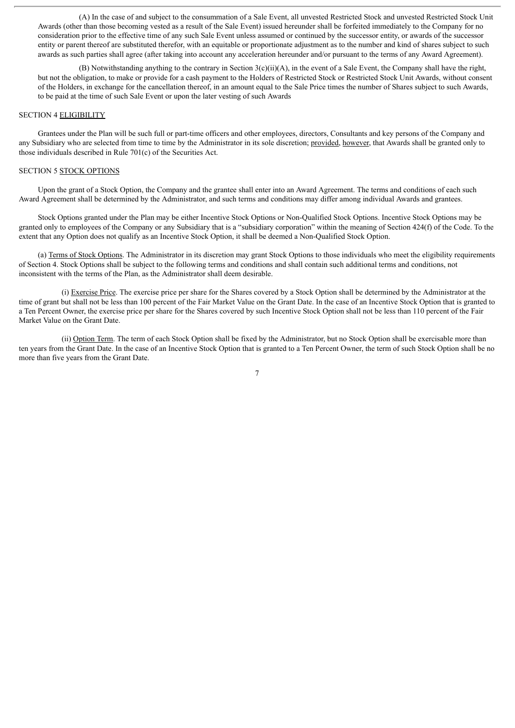(A) In the case of and subject to the consummation of a Sale Event, all unvested Restricted Stock and unvested Restricted Stock Unit Awards (other than those becoming vested as a result of the Sale Event) issued hereunder shall be forfeited immediately to the Company for no consideration prior to the effective time of any such Sale Event unless assumed or continued by the successor entity, or awards of the successor entity or parent thereof are substituted therefor, with an equitable or proportionate adjustment as to the number and kind of shares subject to such awards as such parties shall agree (after taking into account any acceleration hereunder and/or pursuant to the terms of any Award Agreement).

(B) Notwithstanding anything to the contrary in Section  $3(c)(ii)(A)$ , in the event of a Sale Event, the Company shall have the right, but not the obligation, to make or provide for a cash payment to the Holders of Restricted Stock or Restricted Stock Unit Awards, without consent of the Holders, in exchange for the cancellation thereof, in an amount equal to the Sale Price times the number of Shares subject to such Awards, to be paid at the time of such Sale Event or upon the later vesting of such Awards

#### SECTION 4 ELIGIBILITY

Grantees under the Plan will be such full or part-time officers and other employees, directors, Consultants and key persons of the Company and any Subsidiary who are selected from time to time by the Administrator in its sole discretion; provided, however, that Awards shall be granted only to those individuals described in Rule 701(c) of the Securities Act.

## SECTION 5 STOCK OPTIONS

Upon the grant of a Stock Option, the Company and the grantee shall enter into an Award Agreement. The terms and conditions of each such Award Agreement shall be determined by the Administrator, and such terms and conditions may differ among individual Awards and grantees.

Stock Options granted under the Plan may be either Incentive Stock Options or Non-Qualified Stock Options. Incentive Stock Options may be granted only to employees of the Company or any Subsidiary that is a "subsidiary corporation" within the meaning of Section 424(f) of the Code. To the extent that any Option does not qualify as an Incentive Stock Option, it shall be deemed a Non-Qualified Stock Option.

(a) Terms of Stock Options. The Administrator in its discretion may grant Stock Options to those individuals who meet the eligibility requirements of Section 4. Stock Options shall be subject to the following terms and conditions and shall contain such additional terms and conditions, not inconsistent with the terms of the Plan, as the Administrator shall deem desirable.

(i) Exercise Price. The exercise price per share for the Shares covered by a Stock Option shall be determined by the Administrator at the time of grant but shall not be less than 100 percent of the Fair Market Value on the Grant Date. In the case of an Incentive Stock Option that is granted to a Ten Percent Owner, the exercise price per share for the Shares covered by such Incentive Stock Option shall not be less than 110 percent of the Fair Market Value on the Grant Date.

(ii) Option Term. The term of each Stock Option shall be fixed by the Administrator, but no Stock Option shall be exercisable more than ten years from the Grant Date. In the case of an Incentive Stock Option that is granted to a Ten Percent Owner, the term of such Stock Option shall be no more than five years from the Grant Date.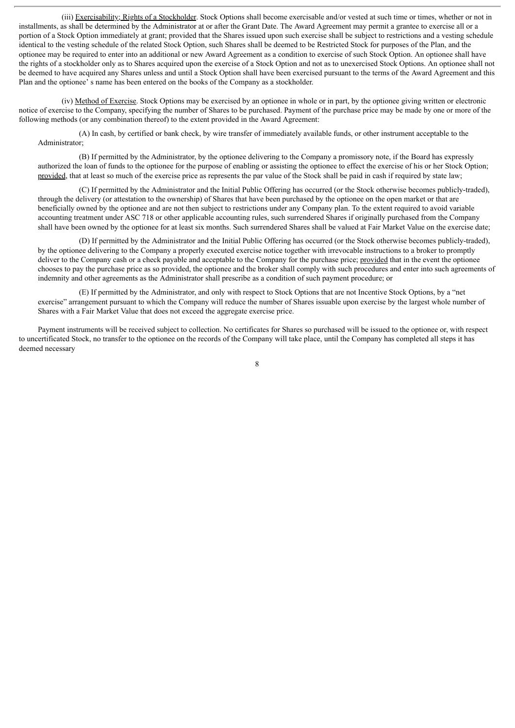(iii) Exercisability; Rights of a Stockholder. Stock Options shall become exercisable and/or vested at such time or times, whether or not in installments, as shall be determined by the Administrator at or after the Grant Date. The Award Agreement may permit a grantee to exercise all or a portion of a Stock Option immediately at grant; provided that the Shares issued upon such exercise shall be subject to restrictions and a vesting schedule identical to the vesting schedule of the related Stock Option, such Shares shall be deemed to be Restricted Stock for purposes of the Plan, and the optionee may be required to enter into an additional or new Award Agreement as a condition to exercise of such Stock Option. An optionee shall have the rights of a stockholder only as to Shares acquired upon the exercise of a Stock Option and not as to unexercised Stock Options. An optionee shall not be deemed to have acquired any Shares unless and until a Stock Option shall have been exercised pursuant to the terms of the Award Agreement and this Plan and the optionee' s name has been entered on the books of the Company as a stockholder.

(iv) Method of Exercise. Stock Options may be exercised by an optionee in whole or in part, by the optionee giving written or electronic notice of exercise to the Company, specifying the number of Shares to be purchased. Payment of the purchase price may be made by one or more of the following methods (or any combination thereof) to the extent provided in the Award Agreement:

(A) In cash, by certified or bank check, by wire transfer of immediately available funds, or other instrument acceptable to the Administrator;

(B) If permitted by the Administrator, by the optionee delivering to the Company a promissory note, if the Board has expressly authorized the loan of funds to the optionee for the purpose of enabling or assisting the optionee to effect the exercise of his or her Stock Option; provided, that at least so much of the exercise price as represents the par value of the Stock shall be paid in cash if required by state law;

(C) If permitted by the Administrator and the Initial Public Offering has occurred (or the Stock otherwise becomes publicly-traded), through the delivery (or attestation to the ownership) of Shares that have been purchased by the optionee on the open market or that are beneficially owned by the optionee and are not then subject to restrictions under any Company plan. To the extent required to avoid variable accounting treatment under ASC 718 or other applicable accounting rules, such surrendered Shares if originally purchased from the Company shall have been owned by the optionee for at least six months. Such surrendered Shares shall be valued at Fair Market Value on the exercise date;

(D) If permitted by the Administrator and the Initial Public Offering has occurred (or the Stock otherwise becomes publicly-traded), by the optionee delivering to the Company a properly executed exercise notice together with irrevocable instructions to a broker to promptly deliver to the Company cash or a check payable and acceptable to the Company for the purchase price; provided that in the event the optionee chooses to pay the purchase price as so provided, the optionee and the broker shall comply with such procedures and enter into such agreements of indemnity and other agreements as the Administrator shall prescribe as a condition of such payment procedure; or

(E) If permitted by the Administrator, and only with respect to Stock Options that are not Incentive Stock Options, by a "net exercise" arrangement pursuant to which the Company will reduce the number of Shares issuable upon exercise by the largest whole number of Shares with a Fair Market Value that does not exceed the aggregate exercise price.

Payment instruments will be received subject to collection. No certificates for Shares so purchased will be issued to the optionee or, with respect to uncertificated Stock, no transfer to the optionee on the records of the Company will take place, until the Company has completed all steps it has deemed necessary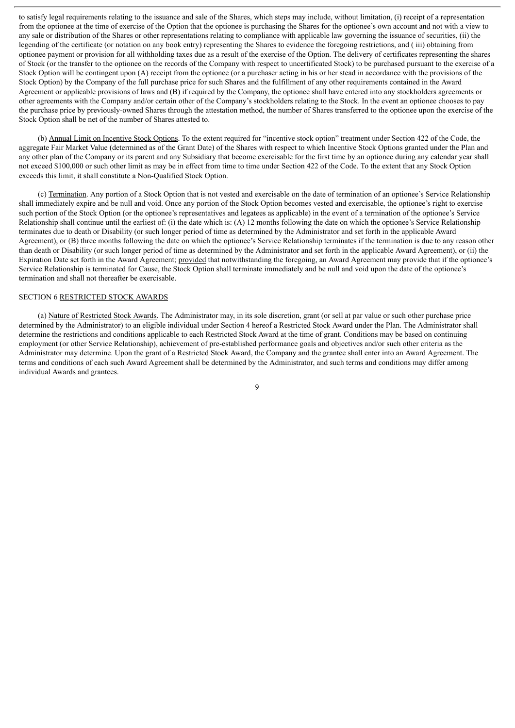to satisfy legal requirements relating to the issuance and sale of the Shares, which steps may include, without limitation, (i) receipt of a representation from the optionee at the time of exercise of the Option that the optionee is purchasing the Shares for the optionee's own account and not with a view to any sale or distribution of the Shares or other representations relating to compliance with applicable law governing the issuance of securities, (ii) the legending of the certificate (or notation on any book entry) representing the Shares to evidence the foregoing restrictions, and ( iii) obtaining from optionee payment or provision for all withholding taxes due as a result of the exercise of the Option. The delivery of certificates representing the shares of Stock (or the transfer to the optionee on the records of the Company with respect to uncertificated Stock) to be purchased pursuant to the exercise of a Stock Option will be contingent upon (A) receipt from the optionee (or a purchaser acting in his or her stead in accordance with the provisions of the Stock Option) by the Company of the full purchase price for such Shares and the fulfillment of any other requirements contained in the Award Agreement or applicable provisions of laws and (B) if required by the Company, the optionee shall have entered into any stockholders agreements or other agreements with the Company and/or certain other of the Company's stockholders relating to the Stock. In the event an optionee chooses to pay the purchase price by previously-owned Shares through the attestation method, the number of Shares transferred to the optionee upon the exercise of the Stock Option shall be net of the number of Shares attested to.

(b) Annual Limit on Incentive Stock Options. To the extent required for "incentive stock option" treatment under Section 422 of the Code, the aggregate Fair Market Value (determined as of the Grant Date) of the Shares with respect to which Incentive Stock Options granted under the Plan and any other plan of the Company or its parent and any Subsidiary that become exercisable for the first time by an optionee during any calendar year shall not exceed \$100,000 or such other limit as may be in effect from time to time under Section 422 of the Code. To the extent that any Stock Option exceeds this limit, it shall constitute a Non-Qualified Stock Option.

(c) Termination. Any portion of a Stock Option that is not vested and exercisable on the date of termination of an optionee's Service Relationship shall immediately expire and be null and void. Once any portion of the Stock Option becomes vested and exercisable, the optionee's right to exercise such portion of the Stock Option (or the optionee's representatives and legatees as applicable) in the event of a termination of the optionee's Service Relationship shall continue until the earliest of: (i) the date which is: (A) 12 months following the date on which the optionee's Service Relationship terminates due to death or Disability (or such longer period of time as determined by the Administrator and set forth in the applicable Award Agreement), or (B) three months following the date on which the optionee's Service Relationship terminates if the termination is due to any reason other than death or Disability (or such longer period of time as determined by the Administrator and set forth in the applicable Award Agreement), or (ii) the Expiration Date set forth in the Award Agreement; provided that notwithstanding the foregoing, an Award Agreement may provide that if the optionee's Service Relationship is terminated for Cause, the Stock Option shall terminate immediately and be null and void upon the date of the optionee's termination and shall not thereafter be exercisable.

#### SECTION 6 RESTRICTED STOCK AWARDS

(a) Nature of Restricted Stock Awards. The Administrator may, in its sole discretion, grant (or sell at par value or such other purchase price determined by the Administrator) to an eligible individual under Section 4 hereof a Restricted Stock Award under the Plan. The Administrator shall determine the restrictions and conditions applicable to each Restricted Stock Award at the time of grant. Conditions may be based on continuing employment (or other Service Relationship), achievement of pre-established performance goals and objectives and/or such other criteria as the Administrator may determine. Upon the grant of a Restricted Stock Award, the Company and the grantee shall enter into an Award Agreement. The terms and conditions of each such Award Agreement shall be determined by the Administrator, and such terms and conditions may differ among individual Awards and grantees.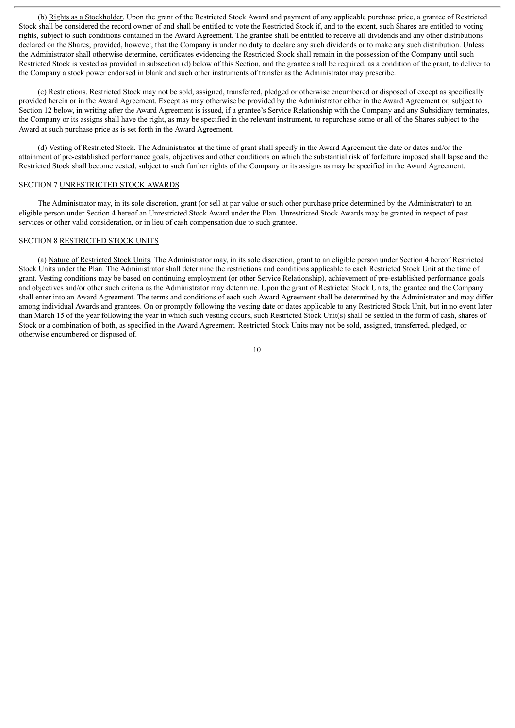(b) Rights as a Stockholder. Upon the grant of the Restricted Stock Award and payment of any applicable purchase price, a grantee of Restricted Stock shall be considered the record owner of and shall be entitled to vote the Restricted Stock if, and to the extent, such Shares are entitled to voting rights, subject to such conditions contained in the Award Agreement. The grantee shall be entitled to receive all dividends and any other distributions declared on the Shares; provided, however, that the Company is under no duty to declare any such dividends or to make any such distribution. Unless the Administrator shall otherwise determine, certificates evidencing the Restricted Stock shall remain in the possession of the Company until such Restricted Stock is vested as provided in subsection (d) below of this Section, and the grantee shall be required, as a condition of the grant, to deliver to the Company a stock power endorsed in blank and such other instruments of transfer as the Administrator may prescribe.

(c) Restrictions. Restricted Stock may not be sold, assigned, transferred, pledged or otherwise encumbered or disposed of except as specifically provided herein or in the Award Agreement. Except as may otherwise be provided by the Administrator either in the Award Agreement or, subject to Section 12 below, in writing after the Award Agreement is issued, if a grantee's Service Relationship with the Company and any Subsidiary terminates, the Company or its assigns shall have the right, as may be specified in the relevant instrument, to repurchase some or all of the Shares subject to the Award at such purchase price as is set forth in the Award Agreement.

(d) Vesting of Restricted Stock. The Administrator at the time of grant shall specify in the Award Agreement the date or dates and/or the attainment of pre-established performance goals, objectives and other conditions on which the substantial risk of forfeiture imposed shall lapse and the Restricted Stock shall become vested, subject to such further rights of the Company or its assigns as may be specified in the Award Agreement.

## SECTION 7 UNRESTRICTED STOCK AWARDS

The Administrator may, in its sole discretion, grant (or sell at par value or such other purchase price determined by the Administrator) to an eligible person under Section 4 hereof an Unrestricted Stock Award under the Plan. Unrestricted Stock Awards may be granted in respect of past services or other valid consideration, or in lieu of cash compensation due to such grantee.

## SECTION 8 RESTRICTED STOCK UNITS

(a) Nature of Restricted Stock Units. The Administrator may, in its sole discretion, grant to an eligible person under Section 4 hereof Restricted Stock Units under the Plan. The Administrator shall determine the restrictions and conditions applicable to each Restricted Stock Unit at the time of grant. Vesting conditions may be based on continuing employment (or other Service Relationship), achievement of pre-established performance goals and objectives and/or other such criteria as the Administrator may determine. Upon the grant of Restricted Stock Units, the grantee and the Company shall enter into an Award Agreement. The terms and conditions of each such Award Agreement shall be determined by the Administrator and may differ among individual Awards and grantees. On or promptly following the vesting date or dates applicable to any Restricted Stock Unit, but in no event later than March 15 of the year following the year in which such vesting occurs, such Restricted Stock Unit(s) shall be settled in the form of cash, shares of Stock or a combination of both, as specified in the Award Agreement. Restricted Stock Units may not be sold, assigned, transferred, pledged, or otherwise encumbered or disposed of.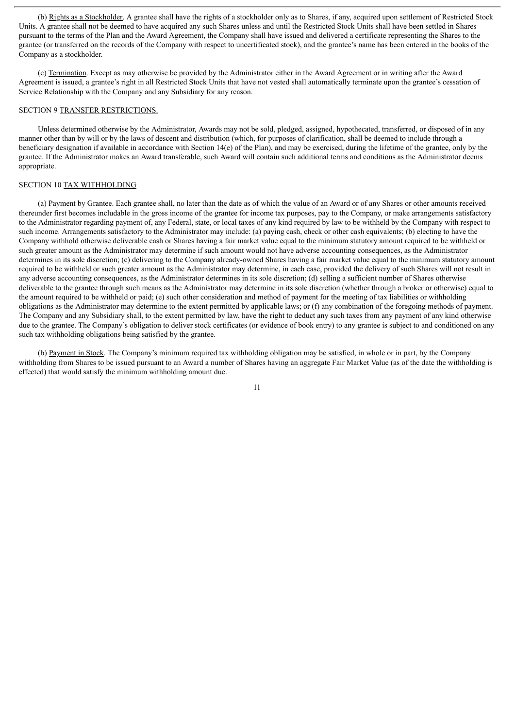(b) Rights as a Stockholder. A grantee shall have the rights of a stockholder only as to Shares, if any, acquired upon settlement of Restricted Stock Units. A grantee shall not be deemed to have acquired any such Shares unless and until the Restricted Stock Units shall have been settled in Shares pursuant to the terms of the Plan and the Award Agreement, the Company shall have issued and delivered a certificate representing the Shares to the grantee (or transferred on the records of the Company with respect to uncertificated stock), and the grantee's name has been entered in the books of the Company as a stockholder.

(c) Termination. Except as may otherwise be provided by the Administrator either in the Award Agreement or in writing after the Award Agreement is issued, a grantee's right in all Restricted Stock Units that have not vested shall automatically terminate upon the grantee's cessation of Service Relationship with the Company and any Subsidiary for any reason.

## SECTION 9 TRANSFER RESTRICTIONS.

Unless determined otherwise by the Administrator, Awards may not be sold, pledged, assigned, hypothecated, transferred, or disposed of in any manner other than by will or by the laws of descent and distribution (which, for purposes of clarification, shall be deemed to include through a beneficiary designation if available in accordance with Section 14(e) of the Plan), and may be exercised, during the lifetime of the grantee, only by the grantee. If the Administrator makes an Award transferable, such Award will contain such additional terms and conditions as the Administrator deems appropriate.

## SECTION 10 TAX WITHHOLDING

(a) Payment by Grantee. Each grantee shall, no later than the date as of which the value of an Award or of any Shares or other amounts received thereunder first becomes includable in the gross income of the grantee for income tax purposes, pay to the Company, or make arrangements satisfactory to the Administrator regarding payment of, any Federal, state, or local taxes of any kind required by law to be withheld by the Company with respect to such income. Arrangements satisfactory to the Administrator may include: (a) paying cash, check or other cash equivalents; (b) electing to have the Company withhold otherwise deliverable cash or Shares having a fair market value equal to the minimum statutory amount required to be withheld or such greater amount as the Administrator may determine if such amount would not have adverse accounting consequences, as the Administrator determines in its sole discretion; (c) delivering to the Company already-owned Shares having a fair market value equal to the minimum statutory amount required to be withheld or such greater amount as the Administrator may determine, in each case, provided the delivery of such Shares will not result in any adverse accounting consequences, as the Administrator determines in its sole discretion; (d) selling a sufficient number of Shares otherwise deliverable to the grantee through such means as the Administrator may determine in its sole discretion (whether through a broker or otherwise) equal to the amount required to be withheld or paid; (e) such other consideration and method of payment for the meeting of tax liabilities or withholding obligations as the Administrator may determine to the extent permitted by applicable laws; or (f) any combination of the foregoing methods of payment. The Company and any Subsidiary shall, to the extent permitted by law, have the right to deduct any such taxes from any payment of any kind otherwise due to the grantee. The Company's obligation to deliver stock certificates (or evidence of book entry) to any grantee is subject to and conditioned on any such tax withholding obligations being satisfied by the grantee.

(b) Payment in Stock. The Company's minimum required tax withholding obligation may be satisfied, in whole or in part, by the Company withholding from Shares to be issued pursuant to an Award a number of Shares having an aggregate Fair Market Value (as of the date the withholding is effected) that would satisfy the minimum withholding amount due.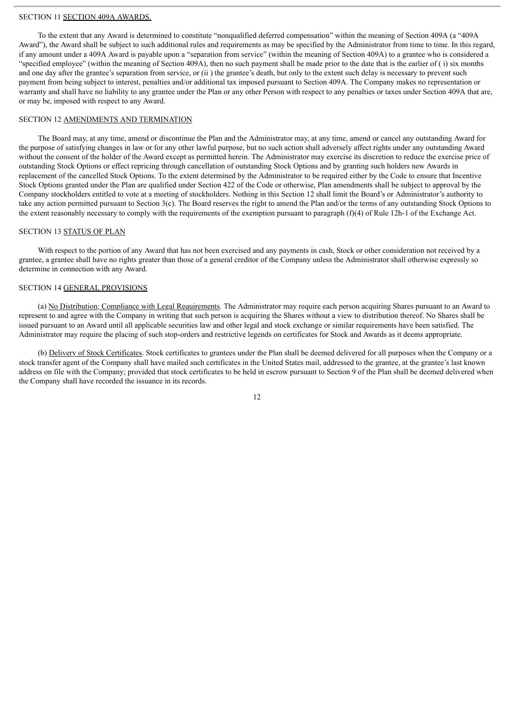#### SECTION 11 SECTION 409A AWARDS.

To the extent that any Award is determined to constitute "nonqualified deferred compensation" within the meaning of Section 409A (a "409A Award"), the Award shall be subject to such additional rules and requirements as may be specified by the Administrator from time to time. In this regard, if any amount under a 409A Award is payable upon a "separation from service" (within the meaning of Section 409A) to a grantee who is considered a "specified employee" (within the meaning of Section 409A), then no such payment shall be made prior to the date that is the earlier of ( i) six months and one day after the grantee's separation from service, or (ii ) the grantee's death, but only to the extent such delay is necessary to prevent such payment from being subject to interest, penalties and/or additional tax imposed pursuant to Section 409A. The Company makes no representation or warranty and shall have no liability to any grantee under the Plan or any other Person with respect to any penalties or taxes under Section 409A that are, or may be, imposed with respect to any Award.

### SECTION 12 AMENDMENTS AND TERMINATION

The Board may, at any time, amend or discontinue the Plan and the Administrator may, at any time, amend or cancel any outstanding Award for the purpose of satisfying changes in law or for any other lawful purpose, but no such action shall adversely affect rights under any outstanding Award without the consent of the holder of the Award except as permitted herein. The Administrator may exercise its discretion to reduce the exercise price of outstanding Stock Options or effect repricing through cancellation of outstanding Stock Options and by granting such holders new Awards in replacement of the cancelled Stock Options. To the extent determined by the Administrator to be required either by the Code to ensure that Incentive Stock Options granted under the Plan are qualified under Section 422 of the Code or otherwise, Plan amendments shall be subject to approval by the Company stockholders entitled to vote at a meeting of stockholders. Nothing in this Section 12 shall limit the Board's or Administrator's authority to take any action permitted pursuant to Section 3(c). The Board reserves the right to amend the Plan and/or the terms of any outstanding Stock Options to the extent reasonably necessary to comply with the requirements of the exemption pursuant to paragraph (f)(4) of Rule 12h-1 of the Exchange Act.

## SECTION 13 STATUS OF PLAN

With respect to the portion of any Award that has not been exercised and any payments in cash, Stock or other consideration not received by a grantee, a grantee shall have no rights greater than those of a general creditor of the Company unless the Administrator shall otherwise expressly so determine in connection with any Award.

## SECTION 14 GENERAL PROVISIONS

(a) No Distribution; Compliance with Legal Requirements. The Administrator may require each person acquiring Shares pursuant to an Award to represent to and agree with the Company in writing that such person is acquiring the Shares without a view to distribution thereof. No Shares shall be issued pursuant to an Award until all applicable securities law and other legal and stock exchange or similar requirements have been satisfied. The Administrator may require the placing of such stop-orders and restrictive legends on certificates for Stock and Awards as it deems appropriate.

(b) Delivery of Stock Certificates. Stock certificates to grantees under the Plan shall be deemed delivered for all purposes when the Company or a stock transfer agent of the Company shall have mailed such certificates in the United States mail, addressed to the grantee, at the grantee's last known address on file with the Company; provided that stock certificates to be held in escrow pursuant to Section 9 of the Plan shall be deemed delivered when the Company shall have recorded the issuance in its records.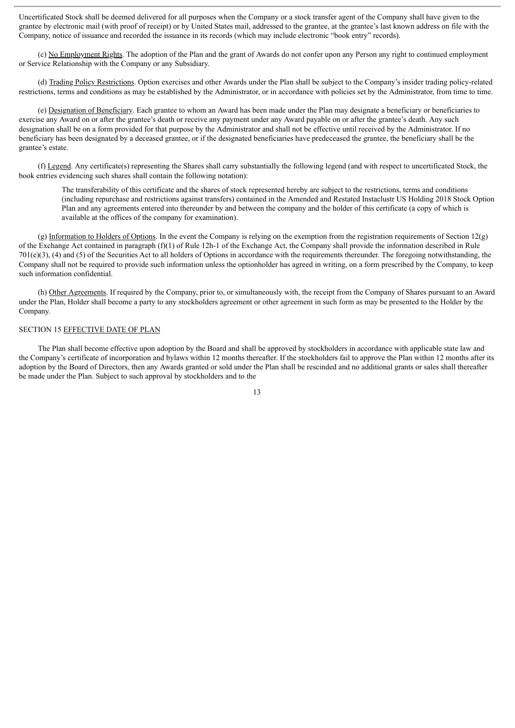Uncertificated Stock shall be deemed delivered for all purposes when the Company or a stock transfer agent of the Company shall have given to the grantee by electronic mail (with proof of receipt) or by United States mail, addressed to the grantee, at the grantee's last known address on file with the Company, notice of issuance and recorded the issuance in its records (which may include electronic "book entry" records).

(c) No Employment Rights. The adoption of the Plan and the grant of Awards do not confer upon any Person any right to continued employment or Service Relationship with the Company or any Subsidiary.

(d) Trading Policy Restrictions. Option exercises and other Awards under the Plan shall be subject to the Company's insider trading policy-related restrictions, terms and conditions as may be established by the Administrator, or in accordance with policies set by the Administrator, from time to time.

(e) Designation of Beneficiary. Each grantee to whom an Award has been made under the Plan may designate a beneficiary or beneficiaries to exercise any Award on or after the grantee's death or receive any payment under any Award payable on or after the grantee's death. Any such designation shall be on a form provided for that purpose by the Administrator and shall not be effective until received by the Administrator. If no beneficiary has been designated by a deceased grantee, or if the designated beneficiaries have predeceased the grantee, the beneficiary shall be the grantee's estate.

(f) Legend. Any certificate(s) representing the Shares shall carry substantially the following legend (and with respect to uncertificated Stock, the book entries evidencing such shares shall contain the following notation):

The transferability of this certificate and the shares of stock represented hereby are subject to the restrictions, terms and conditions (including repurchase and restrictions against transfers) contained in the Amended and Restated Instaclustr US Holding 2018 Stock Option Plan and any agreements entered into thereunder by and between the company and the holder of this certificate (a copy of which is available at the offices of the company for examination).

(g) Information to Holders of Options. In the event the Company is relying on the exemption from the registration requirements of Section  $12(g)$ of the Exchange Act contained in paragraph (f)(1) of Rule 12h-1 of the Exchange Act, the Company shall provide the information described in Rule 701(e)(3), (4) and (5) of the Securities Act to all holders of Options in accordance with the requirements thereunder. The foregoing notwithstanding, the Company shall not be required to provide such information unless the optionholder has agreed in writing, on a form prescribed by the Company, to keep such information confidential.

(h) Other Agreements. If required by the Company, prior to, or simultaneously with, the receipt from the Company of Shares pursuant to an Award under the Plan, Holder shall become a party to any stockholders agreement or other agreement in such form as may be presented to the Holder by the Company.

#### SECTION 15 EFFECTIVE DATE OF PLAN

The Plan shall become effective upon adoption by the Board and shall be approved by stockholders in accordance with applicable state law and the Company's certificate of incorporation and bylaws within 12 months thereafter. If the stockholders fail to approve the Plan within 12 months after its adoption by the Board of Directors, then any Awards granted or sold under the Plan shall be rescinded and no additional grants or sales shall thereafter be made under the Plan. Subject to such approval by stockholders and to the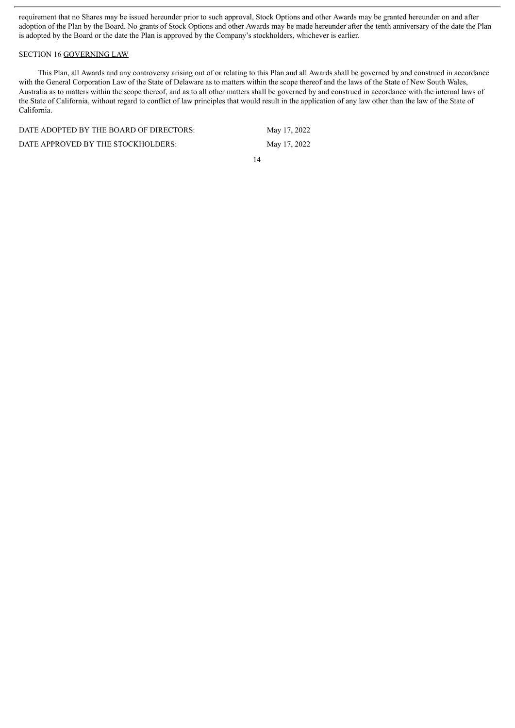requirement that no Shares may be issued hereunder prior to such approval, Stock Options and other Awards may be granted hereunder on and after adoption of the Plan by the Board. No grants of Stock Options and other Awards may be made hereunder after the tenth anniversary of the date the Plan is adopted by the Board or the date the Plan is approved by the Company's stockholders, whichever is earlier.

## SECTION 16 GOVERNING LAW

This Plan, all Awards and any controversy arising out of or relating to this Plan and all Awards shall be governed by and construed in accordance with the General Corporation Law of the State of Delaware as to matters within the scope thereof and the laws of the State of New South Wales, Australia as to matters within the scope thereof, and as to all other matters shall be governed by and construed in accordance with the internal laws of the State of California, without regard to conflict of law principles that would result in the application of any law other than the law of the State of California.

| DATE ADOPTED BY THE BOARD OF DIRECTORS: | May 17, 2022 |
|-----------------------------------------|--------------|
| DATE APPROVED BY THE STOCKHOLDERS:      | May 17, 2022 |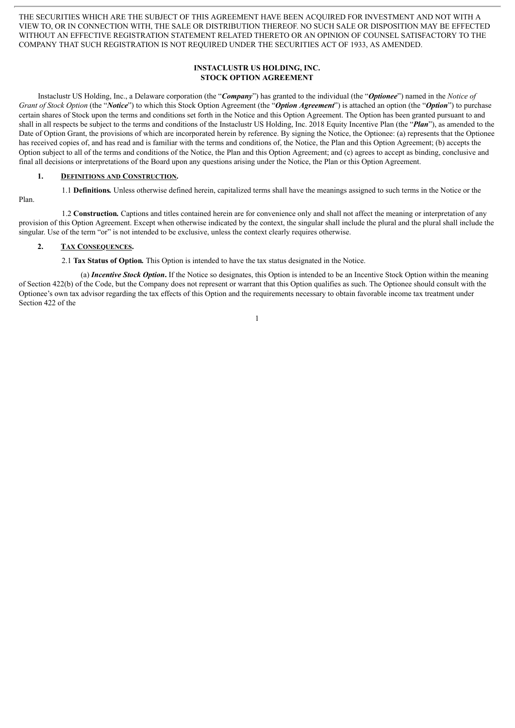THE SECURITIES WHICH ARE THE SUBJECT OF THIS AGREEMENT HAVE BEEN ACQUIRED FOR INVESTMENT AND NOT WITH A VIEW TO, OR IN CONNECTION WITH, THE SALE OR DISTRIBUTION THEREOF. NO SUCH SALE OR DISPOSITION MAY BE EFFECTED WITHOUT AN EFFECTIVE REGISTRATION STATEMENT RELATED THERETO OR AN OPINION OF COUNSEL SATISFACTORY TO THE COMPANY THAT SUCH REGISTRATION IS NOT REQUIRED UNDER THE SECURITIES ACT OF 1933, AS AMENDED.

## **INSTACLUSTR US HOLDING, INC. STOCK OPTION AGREEMENT**

Instaclustr US Holding, Inc., a Delaware corporation (the "*Company*") has granted to the individual (the "*Optionee*") named in the *Notice of Grant of Stock Option* (the "*Notice*") to which this Stock Option Agreement (the "*Option Agreement*") is attached an option (the "*Option*") to purchase certain shares of Stock upon the terms and conditions set forth in the Notice and this Option Agreement. The Option has been granted pursuant to and shall in all respects be subject to the terms and conditions of the Instaclustr US Holding, Inc. 2018 Equity Incentive Plan (the "*Plan*"), as amended to the Date of Option Grant, the provisions of which are incorporated herein by reference. By signing the Notice, the Optionee: (a) represents that the Optionee has received copies of, and has read and is familiar with the terms and conditions of, the Notice, the Plan and this Option Agreement; (b) accepts the Option subject to all of the terms and conditions of the Notice, the Plan and this Option Agreement; and (c) agrees to accept as binding, conclusive and final all decisions or interpretations of the Board upon any questions arising under the Notice, the Plan or this Option Agreement.

#### **1. DEFINITIONS AND CONSTRUCTION.**

1.1 **Definitions***.* Unless otherwise defined herein, capitalized terms shall have the meanings assigned to such terms in the Notice or the

1.2 **Construction***.* Captions and titles contained herein are for convenience only and shall not affect the meaning or interpretation of any provision of this Option Agreement. Except when otherwise indicated by the context, the singular shall include the plural and the plural shall include the singular. Use of the term "or" is not intended to be exclusive, unless the context clearly requires otherwise.

#### **2. TAX CONSEQUENCES.**

Plan.

2.1 **Tax Status of Option***.* This Option is intended to have the tax status designated in the Notice.

(a) *Incentive Stock Option***.** If the Notice so designates, this Option is intended to be an Incentive Stock Option within the meaning of Section 422(b) of the Code, but the Company does not represent or warrant that this Option qualifies as such. The Optionee should consult with the Optionee's own tax advisor regarding the tax effects of this Option and the requirements necessary to obtain favorable income tax treatment under Section 422 of the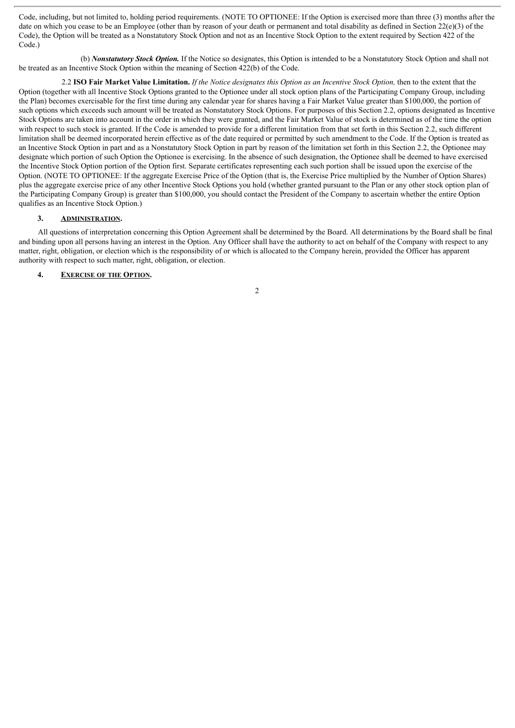Code, including, but not limited to, holding period requirements. (NOTE TO OPTIONEE: If the Option is exercised more than three (3) months after the date on which you cease to be an Employee (other than by reason of your death or permanent and total disability as defined in Section 22(e)(3) of the Code), the Option will be treated as a Nonstatutory Stock Option and not as an Incentive Stock Option to the extent required by Section 422 of the Code.)

(b) *Nonstatutory Stock Option.* If the Notice so designates, this Option is intended to be a Nonstatutory Stock Option and shall not be treated as an Incentive Stock Option within the meaning of Section 422(b) of the Code.

2.2 ISO Fair Market Value Limitation. If the Notice designates this Option as an Incentive Stock Option, then to the extent that the Option (together with all Incentive Stock Options granted to the Optionee under all stock option plans of the Participating Company Group, including the Plan) becomes exercisable for the first time during any calendar year for shares having a Fair Market Value greater than \$100,000, the portion of such options which exceeds such amount will be treated as Nonstatutory Stock Options. For purposes of this Section 2.2, options designated as Incentive Stock Options are taken into account in the order in which they were granted, and the Fair Market Value of stock is determined as of the time the option with respect to such stock is granted. If the Code is amended to provide for a different limitation from that set forth in this Section 2.2, such different limitation shall be deemed incorporated herein effective as of the date required or permitted by such amendment to the Code. If the Option is treated as an Incentive Stock Option in part and as a Nonstatutory Stock Option in part by reason of the limitation set forth in this Section 2.2, the Optionee may designate which portion of such Option the Optionee is exercising. In the absence of such designation, the Optionee shall be deemed to have exercised the Incentive Stock Option portion of the Option first. Separate certificates representing each such portion shall be issued upon the exercise of the Option. (NOTE TO OPTIONEE: If the aggregate Exercise Price of the Option (that is, the Exercise Price multiplied by the Number of Option Shares) plus the aggregate exercise price of any other Incentive Stock Options you hold (whether granted pursuant to the Plan or any other stock option plan of the Participating Company Group) is greater than \$100,000, you should contact the President of the Company to ascertain whether the entire Option qualifies as an Incentive Stock Option.)

#### **3. ADMINISTRATION.**

All questions of interpretation concerning this Option Agreement shall be determined by the Board. All determinations by the Board shall be final and binding upon all persons having an interest in the Option. Any Officer shall have the authority to act on behalf of the Company with respect to any matter, right, obligation, or election which is the responsibility of or which is allocated to the Company herein, provided the Officer has apparent authority with respect to such matter, right, obligation, or election.

## **4. EXERCISE OF THE OPTION.**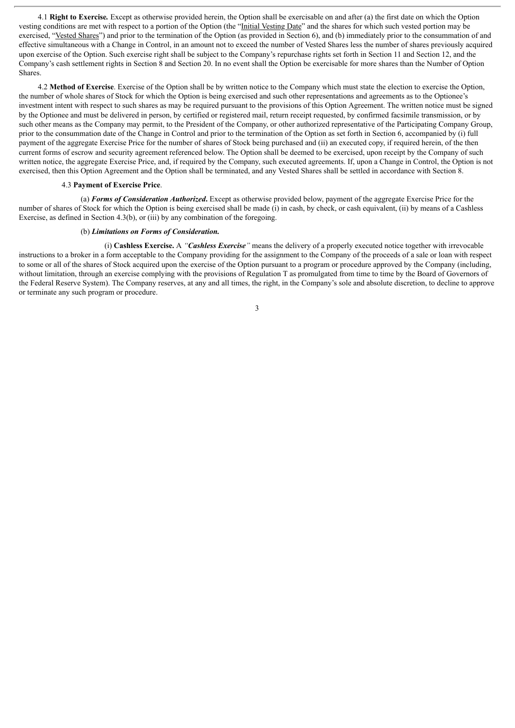4.1 **Right to Exercise***.* Except as otherwise provided herein, the Option shall be exercisable on and after (a) the first date on which the Option vesting conditions are met with respect to a portion of the Option (the "Initial Vesting Date" and the shares for which such vested portion may be exercised, "Vested Shares") and prior to the termination of the Option (as provided in Section 6), and (b) immediately prior to the consummation of and effective simultaneous with a Change in Control, in an amount not to exceed the number of Vested Shares less the number of shares previously acquired upon exercise of the Option. Such exercise right shall be subject to the Company's repurchase rights set forth in Section 11 and Section 12, and the Company's cash settlement rights in Section 8 and Section 20. In no event shall the Option be exercisable for more shares than the Number of Option Shares.

4.2 **Method of Exercise**. Exercise of the Option shall be by written notice to the Company which must state the election to exercise the Option, the number of whole shares of Stock for which the Option is being exercised and such other representations and agreements as to the Optionee's investment intent with respect to such shares as may be required pursuant to the provisions of this Option Agreement. The written notice must be signed by the Optionee and must be delivered in person, by certified or registered mail, return receipt requested, by confirmed facsimile transmission, or by such other means as the Company may permit, to the President of the Company, or other authorized representative of the Participating Company Group, prior to the consummation date of the Change in Control and prior to the termination of the Option as set forth in Section 6, accompanied by (i) full payment of the aggregate Exercise Price for the number of shares of Stock being purchased and (ii) an executed copy, if required herein, of the then current forms of escrow and security agreement referenced below. The Option shall be deemed to be exercised, upon receipt by the Company of such written notice, the aggregate Exercise Price, and, if required by the Company, such executed agreements. If, upon a Change in Control, the Option is not exercised, then this Option Agreement and the Option shall be terminated, and any Vested Shares shall be settled in accordance with Section 8.

#### 4.3 **Payment of Exercise Price**.

(a) *Forms of Consideration Authorized***.** Except as otherwise provided below, payment of the aggregate Exercise Price for the number of shares of Stock for which the Option is being exercised shall be made (i) in cash, by check, or cash equivalent, (ii) by means of a Cashless Exercise, as defined in Section 4.3(b), or (iii) by any combination of the foregoing.

## (b) *Limitations on Forms of Consideration.*

(i) **Cashless Exercise.** A *"Cashless Exercise"* means the delivery of a properly executed notice together with irrevocable instructions to a broker in a form acceptable to the Company providing for the assignment to the Company of the proceeds of a sale or loan with respect to some or all of the shares of Stock acquired upon the exercise of the Option pursuant to a program or procedure approved by the Company (including, without limitation, through an exercise complying with the provisions of Regulation T as promulgated from time to time by the Board of Governors of the Federal Reserve System). The Company reserves, at any and all times, the right, in the Company's sole and absolute discretion, to decline to approve or terminate any such program or procedure.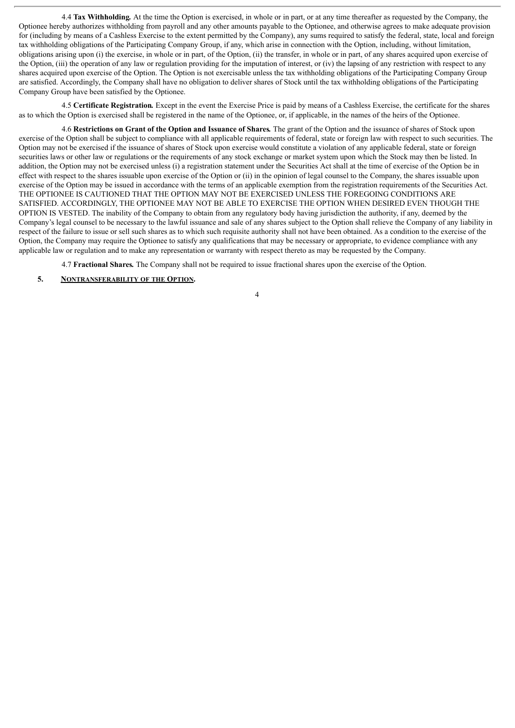4.4 **Tax Withholding***.* At the time the Option is exercised, in whole or in part, or at any time thereafter as requested by the Company, the Optionee hereby authorizes withholding from payroll and any other amounts payable to the Optionee, and otherwise agrees to make adequate provision for (including by means of a Cashless Exercise to the extent permitted by the Company), any sums required to satisfy the federal, state, local and foreign tax withholding obligations of the Participating Company Group, if any, which arise in connection with the Option, including, without limitation, obligations arising upon (i) the exercise, in whole or in part, of the Option, (ii) the transfer, in whole or in part, of any shares acquired upon exercise of the Option, (iii) the operation of any law or regulation providing for the imputation of interest, or (iv) the lapsing of any restriction with respect to any shares acquired upon exercise of the Option. The Option is not exercisable unless the tax withholding obligations of the Participating Company Group are satisfied. Accordingly, the Company shall have no obligation to deliver shares of Stock until the tax withholding obligations of the Participating Company Group have been satisfied by the Optionee.

4.5 **Certificate Registration***.* Except in the event the Exercise Price is paid by means of a Cashless Exercise, the certificate for the shares as to which the Option is exercised shall be registered in the name of the Optionee, or, if applicable, in the names of the heirs of the Optionee.

4.6 **Restrictions on Grant of the Option and Issuance of Shares***.* The grant of the Option and the issuance of shares of Stock upon exercise of the Option shall be subject to compliance with all applicable requirements of federal, state or foreign law with respect to such securities. The Option may not be exercised if the issuance of shares of Stock upon exercise would constitute a violation of any applicable federal, state or foreign securities laws or other law or regulations or the requirements of any stock exchange or market system upon which the Stock may then be listed. In addition, the Option may not be exercised unless (i) a registration statement under the Securities Act shall at the time of exercise of the Option be in effect with respect to the shares issuable upon exercise of the Option or (ii) in the opinion of legal counsel to the Company, the shares issuable upon exercise of the Option may be issued in accordance with the terms of an applicable exemption from the registration requirements of the Securities Act. THE OPTIONEE IS CAUTIONED THAT THE OPTION MAY NOT BE EXERCISED UNLESS THE FOREGOING CONDITIONS ARE SATISFIED. ACCORDINGLY, THE OPTIONEE MAY NOT BE ABLE TO EXERCISE THE OPTION WHEN DESIRED EVEN THOUGH THE OPTION IS VESTED. The inability of the Company to obtain from any regulatory body having jurisdiction the authority, if any, deemed by the Company's legal counsel to be necessary to the lawful issuance and sale of any shares subject to the Option shall relieve the Company of any liability in respect of the failure to issue or sell such shares as to which such requisite authority shall not have been obtained. As a condition to the exercise of the Option, the Company may require the Optionee to satisfy any qualifications that may be necessary or appropriate, to evidence compliance with any applicable law or regulation and to make any representation or warranty with respect thereto as may be requested by the Company.

4.7 **Fractional Shares***.* The Company shall not be required to issue fractional shares upon the exercise of the Option.

## **5. NONTRANSFERABILITY OF THE OPTION.**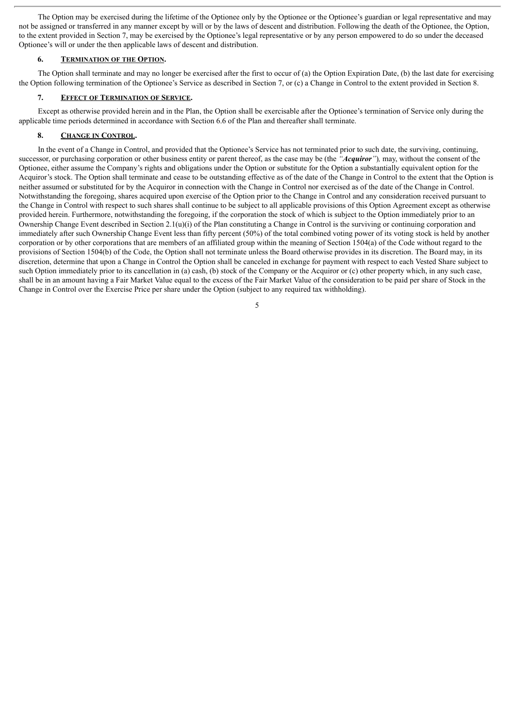The Option may be exercised during the lifetime of the Optionee only by the Optionee or the Optionee's guardian or legal representative and may not be assigned or transferred in any manner except by will or by the laws of descent and distribution. Following the death of the Optionee, the Option, to the extent provided in Section 7, may be exercised by the Optionee's legal representative or by any person empowered to do so under the deceased Optionee's will or under the then applicable laws of descent and distribution.

## **6. TERMINATION OF THE OPTION.**

The Option shall terminate and may no longer be exercised after the first to occur of (a) the Option Expiration Date, (b) the last date for exercising the Option following termination of the Optionee's Service as described in Section 7, or (c) a Change in Control to the extent provided in Section 8.

#### **7. EFFECT OF TERMINATION OF SERVICE.**

Except as otherwise provided herein and in the Plan, the Option shall be exercisable after the Optionee's termination of Service only during the applicable time periods determined in accordance with Section 6.6 of the Plan and thereafter shall terminate.

## **8. CHANGE IN CONTROL.**

In the event of a Change in Control, and provided that the Optionee's Service has not terminated prior to such date, the surviving, continuing, successor, or purchasing corporation or other business entity or parent thereof, as the case may be (the *"Acquiror"*)*,* may, without the consent of the Optionee, either assume the Company's rights and obligations under the Option or substitute for the Option a substantially equivalent option for the Acquiror's stock. The Option shall terminate and cease to be outstanding effective as of the date of the Change in Control to the extent that the Option is neither assumed or substituted for by the Acquiror in connection with the Change in Control nor exercised as of the date of the Change in Control. Notwithstanding the foregoing, shares acquired upon exercise of the Option prior to the Change in Control and any consideration received pursuant to the Change in Control with respect to such shares shall continue to be subject to all applicable provisions of this Option Agreement except as otherwise provided herein. Furthermore, notwithstanding the foregoing, if the corporation the stock of which is subject to the Option immediately prior to an Ownership Change Event described in Section  $2.1(u)(i)$  of the Plan constituting a Change in Control is the surviving or continuing corporation and immediately after such Ownership Change Event less than fifty percent (50%) of the total combined voting power of its voting stock is held by another corporation or by other corporations that are members of an affiliated group within the meaning of Section 1504(a) of the Code without regard to the provisions of Section 1504(b) of the Code, the Option shall not terminate unless the Board otherwise provides in its discretion. The Board may, in its discretion, determine that upon a Change in Control the Option shall be canceled in exchange for payment with respect to each Vested Share subject to such Option immediately prior to its cancellation in (a) cash, (b) stock of the Company or the Acquiror or (c) other property which, in any such case, shall be in an amount having a Fair Market Value equal to the excess of the Fair Market Value of the consideration to be paid per share of Stock in the Change in Control over the Exercise Price per share under the Option (subject to any required tax withholding).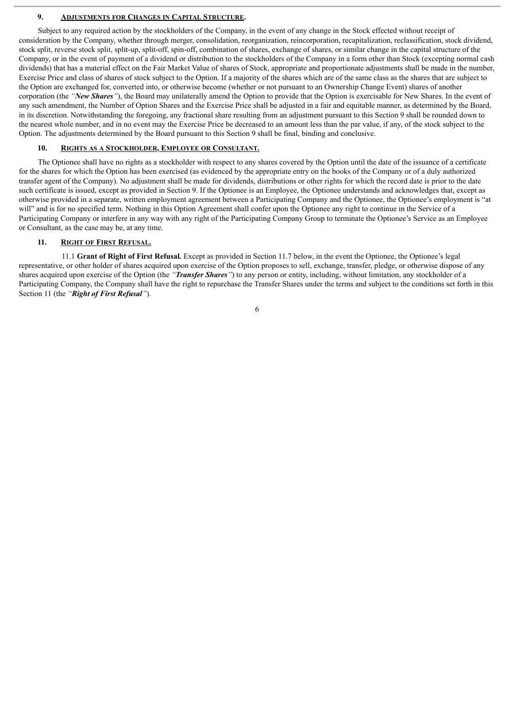#### **9. ADJUSTMENTS FOR CHANGES IN CAPITAL STRUCTURE.**

Subject to any required action by the stockholders of the Company, in the event of any change in the Stock effected without receipt of consideration by the Company, whether through merger, consolidation, reorganization, reincorporation, recapitalization, reclassification, stock dividend, stock split, reverse stock split, split-up, split-off, spin-off, combination of shares, exchange of shares, or similar change in the capital structure of the Company, or in the event of payment of a dividend or distribution to the stockholders of the Company in a form other than Stock (excepting normal cash dividends) that has a material effect on the Fair Market Value of shares of Stock, appropriate and proportionate adjustments shall be made in the number, Exercise Price and class of shares of stock subject to the Option. If a majority of the shares which are of the same class as the shares that are subject to the Option are exchanged for, converted into, or otherwise become (whether or not pursuant to an Ownership Change Event) shares of another corporation (the *"New Shares"*), the Board may unilaterally amend the Option to provide that the Option is exercisable for New Shares. In the event of any such amendment, the Number of Option Shares and the Exercise Price shall be adjusted in a fair and equitable manner, as determined by the Board, in its discretion. Notwithstanding the foregoing, any fractional share resulting from an adjustment pursuant to this Section 9 shall be rounded down to the nearest whole number, and in no event may the Exercise Price be decreased to an amount less than the par value, if any, of the stock subject to the Option. The adjustments determined by the Board pursuant to this Section 9 shall be final, binding and conclusive.

#### **10. RIGHTS AS A STOCKHOLDER, EMPLOYEE OR CONSULTANT.**

The Optionee shall have no rights as a stockholder with respect to any shares covered by the Option until the date of the issuance of a certificate for the shares for which the Option has been exercised (as evidenced by the appropriate entry on the books of the Company or of a duly authorized transfer agent of the Company). No adjustment shall be made for dividends, distributions or other rights for which the record date is prior to the date such certificate is issued, except as provided in Section 9. If the Optionee is an Employee, the Optionee understands and acknowledges that, except as otherwise provided in a separate, written employment agreement between a Participating Company and the Optionee, the Optionee's employment is "at will" and is for no specified term. Nothing in this Option Agreement shall confer upon the Optionee any right to continue in the Service of a Participating Company or interfere in any way with any right of the Participating Company Group to terminate the Optionee's Service as an Employee or Consultant, as the case may be, at any time.

#### **11. RIGHT OF FIRST REFUSAL.**

11.1 **Grant of Right of First Refusal***.* Except as provided in Section 11.7 below, in the event the Optionee, the Optionee's legal representative, or other holder of shares acquired upon exercise of the Option proposes to sell, exchange, transfer, pledge, or otherwise dispose of any shares acquired upon exercise of the Option (the *"Transfer Shares"*) to any person or entity, including, without limitation, any stockholder of a Participating Company, the Company shall have the right to repurchase the Transfer Shares under the terms and subject to the conditions set forth in this Section 11 (the *"Right of First Refusal"*).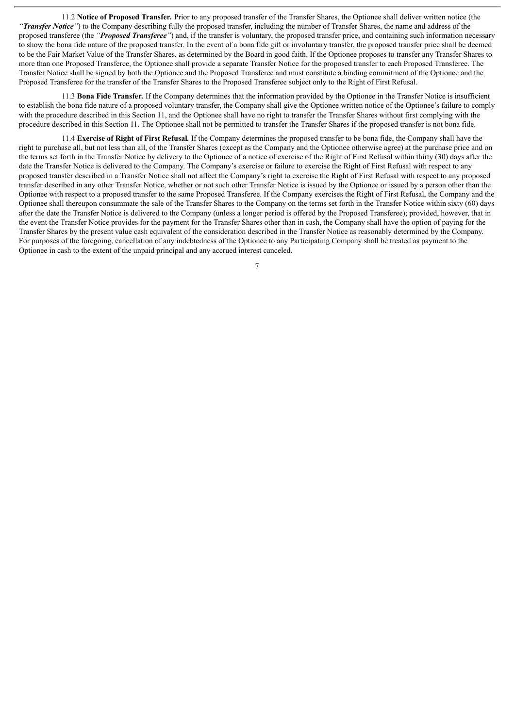11.2 **Notice of Proposed Transfer***.* Prior to any proposed transfer of the Transfer Shares, the Optionee shall deliver written notice (the *"Transfer Notice"*) to the Company describing fully the proposed transfer, including the number of Transfer Shares, the name and address of the proposed transferee (the *"Proposed Transferee"*) and, if the transfer is voluntary, the proposed transfer price, and containing such information necessary to show the bona fide nature of the proposed transfer. In the event of a bona fide gift or involuntary transfer, the proposed transfer price shall be deemed to be the Fair Market Value of the Transfer Shares, as determined by the Board in good faith. If the Optionee proposes to transfer any Transfer Shares to more than one Proposed Transferee, the Optionee shall provide a separate Transfer Notice for the proposed transfer to each Proposed Transferee. The Transfer Notice shall be signed by both the Optionee and the Proposed Transferee and must constitute a binding commitment of the Optionee and the Proposed Transferee for the transfer of the Transfer Shares to the Proposed Transferee subject only to the Right of First Refusal.

11.3 **Bona Fide Transfer***.* If the Company determines that the information provided by the Optionee in the Transfer Notice is insufficient to establish the bona fide nature of a proposed voluntary transfer, the Company shall give the Optionee written notice of the Optionee's failure to comply with the procedure described in this Section 11, and the Optionee shall have no right to transfer the Transfer Shares without first complying with the procedure described in this Section 11. The Optionee shall not be permitted to transfer the Transfer Shares if the proposed transfer is not bona fide.

11.4 **Exercise of Right of First Refusal***.* If the Company determines the proposed transfer to be bona fide, the Company shall have the right to purchase all, but not less than all, of the Transfer Shares (except as the Company and the Optionee otherwise agree) at the purchase price and on the terms set forth in the Transfer Notice by delivery to the Optionee of a notice of exercise of the Right of First Refusal within thirty (30) days after the date the Transfer Notice is delivered to the Company. The Company's exercise or failure to exercise the Right of First Refusal with respect to any proposed transfer described in a Transfer Notice shall not affect the Company's right to exercise the Right of First Refusal with respect to any proposed transfer described in any other Transfer Notice, whether or not such other Transfer Notice is issued by the Optionee or issued by a person other than the Optionee with respect to a proposed transfer to the same Proposed Transferee. If the Company exercises the Right of First Refusal, the Company and the Optionee shall thereupon consummate the sale of the Transfer Shares to the Company on the terms set forth in the Transfer Notice within sixty (60) days after the date the Transfer Notice is delivered to the Company (unless a longer period is offered by the Proposed Transferee); provided, however, that in the event the Transfer Notice provides for the payment for the Transfer Shares other than in cash, the Company shall have the option of paying for the Transfer Shares by the present value cash equivalent of the consideration described in the Transfer Notice as reasonably determined by the Company. For purposes of the foregoing, cancellation of any indebtedness of the Optionee to any Participating Company shall be treated as payment to the Optionee in cash to the extent of the unpaid principal and any accrued interest canceled.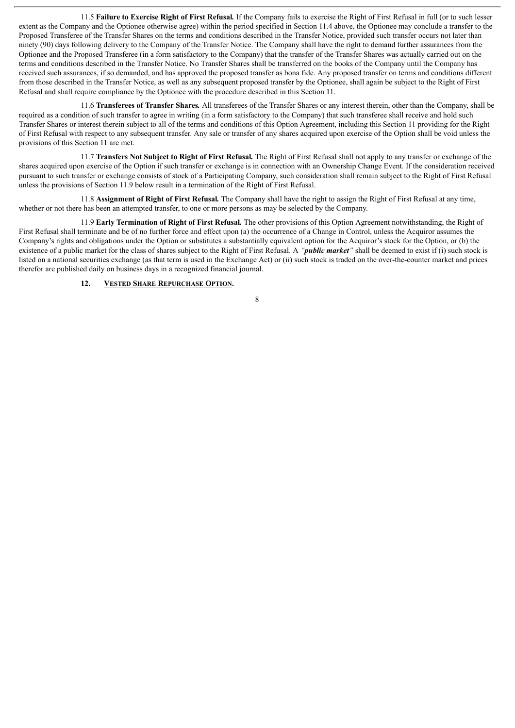11.5 **Failure to Exercise Right of First Refusal***.* If the Company fails to exercise the Right of First Refusal in full (or to such lesser extent as the Company and the Optionee otherwise agree) within the period specified in Section 11.4 above, the Optionee may conclude a transfer to the Proposed Transferee of the Transfer Shares on the terms and conditions described in the Transfer Notice, provided such transfer occurs not later than ninety (90) days following delivery to the Company of the Transfer Notice. The Company shall have the right to demand further assurances from the Optionee and the Proposed Transferee (in a form satisfactory to the Company) that the transfer of the Transfer Shares was actually carried out on the terms and conditions described in the Transfer Notice. No Transfer Shares shall be transferred on the books of the Company until the Company has received such assurances, if so demanded, and has approved the proposed transfer as bona fide. Any proposed transfer on terms and conditions different from those described in the Transfer Notice, as well as any subsequent proposed transfer by the Optionee, shall again be subject to the Right of First Refusal and shall require compliance by the Optionee with the procedure described in this Section 11.

11.6 **Transferees of Transfer Shares***.* All transferees of the Transfer Shares or any interest therein, other than the Company, shall be required as a condition of such transfer to agree in writing (in a form satisfactory to the Company) that such transferee shall receive and hold such Transfer Shares or interest therein subject to all of the terms and conditions of this Option Agreement, including this Section 11 providing for the Right of First Refusal with respect to any subsequent transfer. Any sale or transfer of any shares acquired upon exercise of the Option shall be void unless the provisions of this Section 11 are met.

11.7 **Transfers Not Subject to Right of First Refusal***.* The Right of First Refusal shall not apply to any transfer or exchange of the shares acquired upon exercise of the Option if such transfer or exchange is in connection with an Ownership Change Event. If the consideration received pursuant to such transfer or exchange consists of stock of a Participating Company, such consideration shall remain subject to the Right of First Refusal unless the provisions of Section 11.9 below result in a termination of the Right of First Refusal.

11.8 **Assignment of Right of First Refusal***.* The Company shall have the right to assign the Right of First Refusal at any time, whether or not there has been an attempted transfer, to one or more persons as may be selected by the Company.

11.9 **Early Termination of Right of First Refusal***.* The other provisions of this Option Agreement notwithstanding, the Right of First Refusal shall terminate and be of no further force and effect upon (a) the occurrence of a Change in Control, unless the Acquiror assumes the Company's rights and obligations under the Option or substitutes a substantially equivalent option for the Acquiror's stock for the Option, or (b) the existence of a public market for the class of shares subject to the Right of First Refusal. A *"public market"* shall be deemed to exist if (i) such stock is listed on a national securities exchange (as that term is used in the Exchange Act) or (ii) such stock is traded on the over-the-counter market and prices therefor are published daily on business days in a recognized financial journal.

## **12. VESTED SHARE REPURCHASE OPTION.**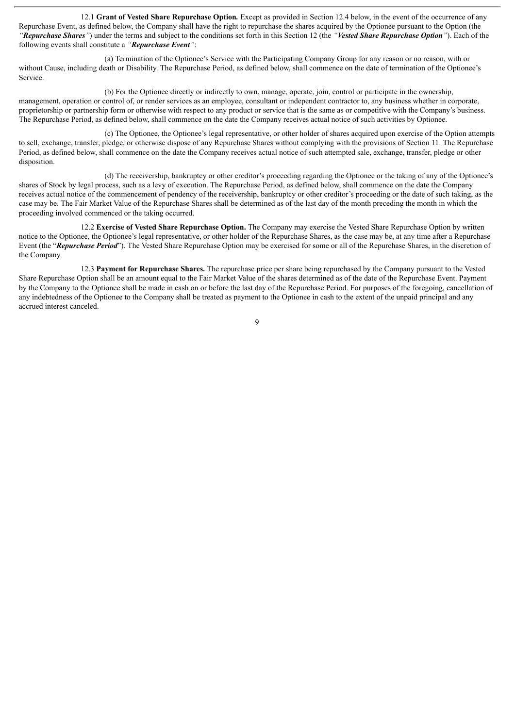12.1 **Grant of Vested Share Repurchase Option***.* Except as provided in Section 12.4 below, in the event of the occurrence of any Repurchase Event, as defined below, the Company shall have the right to repurchase the shares acquired by the Optionee pursuant to the Option (the *"Repurchase Shares"*) under the terms and subject to the conditions set forth in this Section 12 (the *"Vested Share Repurchase Option"*). Each of the following events shall constitute a *"Repurchase Event"*:

(a) Termination of the Optionee's Service with the Participating Company Group for any reason or no reason, with or without Cause, including death or Disability. The Repurchase Period, as defined below, shall commence on the date of termination of the Optionee's Service.

(b) For the Optionee directly or indirectly to own, manage, operate, join, control or participate in the ownership, management, operation or control of, or render services as an employee, consultant or independent contractor to, any business whether in corporate, proprietorship or partnership form or otherwise with respect to any product or service that is the same as or competitive with the Company's business. The Repurchase Period, as defined below, shall commence on the date the Company receives actual notice of such activities by Optionee.

(c) The Optionee, the Optionee's legal representative, or other holder of shares acquired upon exercise of the Option attempts to sell, exchange, transfer, pledge, or otherwise dispose of any Repurchase Shares without complying with the provisions of Section 11. The Repurchase Period, as defined below, shall commence on the date the Company receives actual notice of such attempted sale, exchange, transfer, pledge or other disposition.

(d) The receivership, bankruptcy or other creditor's proceeding regarding the Optionee or the taking of any of the Optionee's shares of Stock by legal process, such as a levy of execution. The Repurchase Period, as defined below, shall commence on the date the Company receives actual notice of the commencement of pendency of the receivership, bankruptcy or other creditor's proceeding or the date of such taking, as the case may be. The Fair Market Value of the Repurchase Shares shall be determined as of the last day of the month preceding the month in which the proceeding involved commenced or the taking occurred.

12.2 **Exercise of Vested Share Repurchase Option.** The Company may exercise the Vested Share Repurchase Option by written notice to the Optionee, the Optionee's legal representative, or other holder of the Repurchase Shares, as the case may be, at any time after a Repurchase Event (the "*Repurchase Period*"). The Vested Share Repurchase Option may be exercised for some or all of the Repurchase Shares, in the discretion of the Company.

12.3 **Payment for Repurchase Shares.** The repurchase price per share being repurchased by the Company pursuant to the Vested Share Repurchase Option shall be an amount equal to the Fair Market Value of the shares determined as of the date of the Repurchase Event. Payment by the Company to the Optionee shall be made in cash on or before the last day of the Repurchase Period. For purposes of the foregoing, cancellation of any indebtedness of the Optionee to the Company shall be treated as payment to the Optionee in cash to the extent of the unpaid principal and any accrued interest canceled.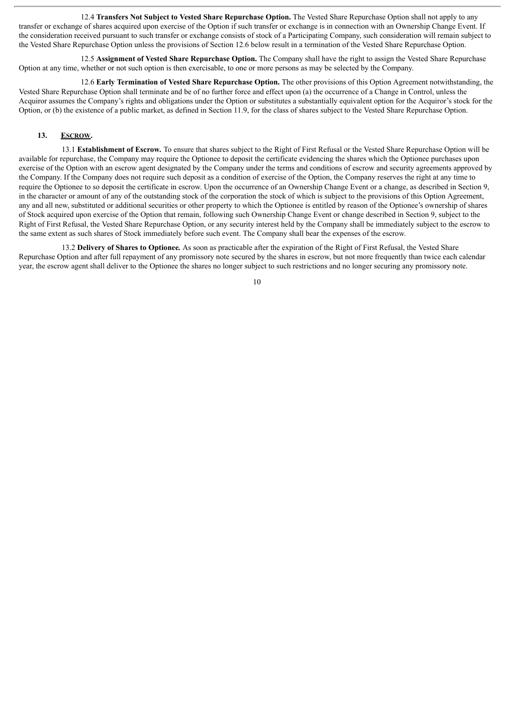12.4 **Transfers Not Subject to Vested Share Repurchase Option.** The Vested Share Repurchase Option shall not apply to any transfer or exchange of shares acquired upon exercise of the Option if such transfer or exchange is in connection with an Ownership Change Event. If the consideration received pursuant to such transfer or exchange consists of stock of a Participating Company, such consideration will remain subject to the Vested Share Repurchase Option unless the provisions of Section 12.6 below result in a termination of the Vested Share Repurchase Option.

12.5 **Assignment of Vested Share Repurchase Option.** The Company shall have the right to assign the Vested Share Repurchase Option at any time, whether or not such option is then exercisable, to one or more persons as may be selected by the Company.

12.6 **Early Termination of Vested Share Repurchase Option.** The other provisions of this Option Agreement notwithstanding, the Vested Share Repurchase Option shall terminate and be of no further force and effect upon (a) the occurrence of a Change in Control, unless the Acquiror assumes the Company's rights and obligations under the Option or substitutes a substantially equivalent option for the Acquiror's stock for the Option, or (b) the existence of a public market, as defined in Section 11.9, for the class of shares subject to the Vested Share Repurchase Option.

#### **13. ESCROW.**

13.1 **Establishment of Escrow***.* To ensure that shares subject to the Right of First Refusal or the Vested Share Repurchase Option will be available for repurchase, the Company may require the Optionee to deposit the certificate evidencing the shares which the Optionee purchases upon exercise of the Option with an escrow agent designated by the Company under the terms and conditions of escrow and security agreements approved by the Company. If the Company does not require such deposit as a condition of exercise of the Option, the Company reserves the right at any time to require the Optionee to so deposit the certificate in escrow. Upon the occurrence of an Ownership Change Event or a change, as described in Section 9, in the character or amount of any of the outstanding stock of the corporation the stock of which is subject to the provisions of this Option Agreement, any and all new, substituted or additional securities or other property to which the Optionee is entitled by reason of the Optionee's ownership of shares of Stock acquired upon exercise of the Option that remain, following such Ownership Change Event or change described in Section 9, subject to the Right of First Refusal, the Vested Share Repurchase Option, or any security interest held by the Company shall be immediately subject to the escrow to the same extent as such shares of Stock immediately before such event. The Company shall bear the expenses of the escrow.

13.2 **Delivery of Shares to Optionee***.* As soon as practicable after the expiration of the Right of First Refusal, the Vested Share Repurchase Option and after full repayment of any promissory note secured by the shares in escrow, but not more frequently than twice each calendar year, the escrow agent shall deliver to the Optionee the shares no longer subject to such restrictions and no longer securing any promissory note.

 $1<sub>0</sub>$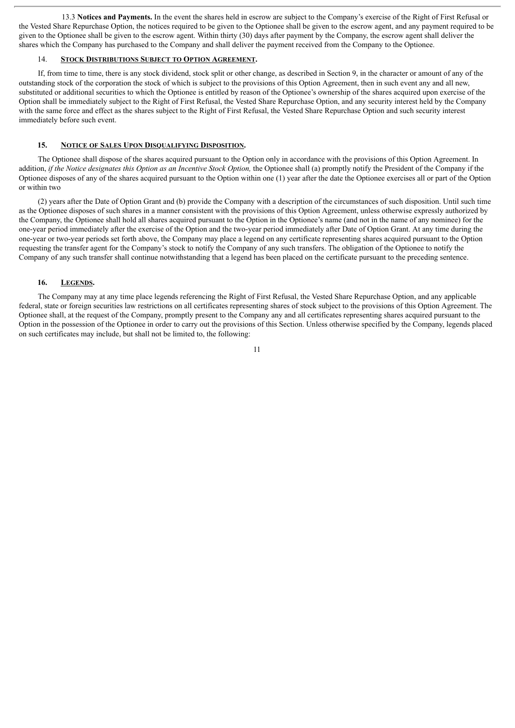13.3 **Notices and Payments.** In the event the shares held in escrow are subject to the Company's exercise of the Right of First Refusal or the Vested Share Repurchase Option, the notices required to be given to the Optionee shall be given to the escrow agent, and any payment required to be given to the Optionee shall be given to the escrow agent. Within thirty (30) days after payment by the Company, the escrow agent shall deliver the shares which the Company has purchased to the Company and shall deliver the payment received from the Company to the Optionee.

#### 14. **STOCK DISTRIBUTIONS SUBJECT TO OPTION AGREEMENT.**

If, from time to time, there is any stock dividend, stock split or other change, as described in Section 9, in the character or amount of any of the outstanding stock of the corporation the stock of which is subject to the provisions of this Option Agreement, then in such event any and all new, substituted or additional securities to which the Optionee is entitled by reason of the Optionee's ownership of the shares acquired upon exercise of the Option shall be immediately subject to the Right of First Refusal, the Vested Share Repurchase Option, and any security interest held by the Company with the same force and effect as the shares subject to the Right of First Refusal, the Vested Share Repurchase Option and such security interest immediately before such event.

#### **15. NOTICE OF SALES UPON DISQUALIFYING DISPOSITION.**

The Optionee shall dispose of the shares acquired pursuant to the Option only in accordance with the provisions of this Option Agreement. In addition, if the Notice designates this Option as an Incentive Stock Option, the Optionee shall (a) promptly notify the President of the Company if the Optionee disposes of any of the shares acquired pursuant to the Option within one (1) year after the date the Optionee exercises all or part of the Option or within two

(2) years after the Date of Option Grant and (b) provide the Company with a description of the circumstances of such disposition. Until such time as the Optionee disposes of such shares in a manner consistent with the provisions of this Option Agreement, unless otherwise expressly authorized by the Company, the Optionee shall hold all shares acquired pursuant to the Option in the Optionee's name (and not in the name of any nominee) for the one-year period immediately after the exercise of the Option and the two-year period immediately after Date of Option Grant. At any time during the one-year or two-year periods set forth above, the Company may place a legend on any certificate representing shares acquired pursuant to the Option requesting the transfer agent for the Company's stock to notify the Company of any such transfers. The obligation of the Optionee to notify the Company of any such transfer shall continue notwithstanding that a legend has been placed on the certificate pursuant to the preceding sentence.

#### **16. LEGENDS.**

The Company may at any time place legends referencing the Right of First Refusal, the Vested Share Repurchase Option, and any applicable federal, state or foreign securities law restrictions on all certificates representing shares of stock subject to the provisions of this Option Agreement. The Optionee shall, at the request of the Company, promptly present to the Company any and all certificates representing shares acquired pursuant to the Option in the possession of the Optionee in order to carry out the provisions of this Section. Unless otherwise specified by the Company, legends placed on such certificates may include, but shall not be limited to, the following: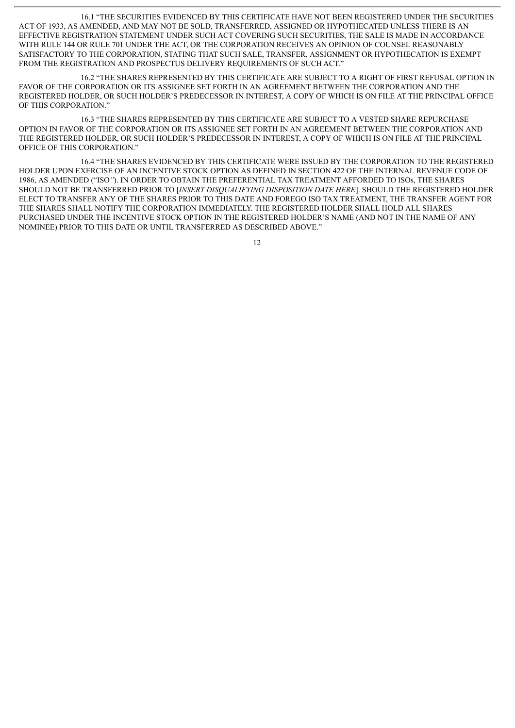16.1 "THE SECURITIES EVIDENCED BY THIS CERTIFICATE HAVE NOT BEEN REGISTERED UNDER THE SECURITIES ACT OF 1933, AS AMENDED, AND MAY NOT BE SOLD, TRANSFERRED, ASSIGNED OR HYPOTHECATED UNLESS THERE IS AN EFFECTIVE REGISTRATION STATEMENT UNDER SUCH ACT COVERING SUCH SECURITIES, THE SALE IS MADE IN ACCORDANCE WITH RULE 144 OR RULE 701 UNDER THE ACT, OR THE CORPORATION RECEIVES AN OPINION OF COUNSEL REASONABLY SATISFACTORY TO THE CORPORATION, STATING THAT SUCH SALE, TRANSFER, ASSIGNMENT OR HYPOTHECATION IS EXEMPT FROM THE REGISTRATION AND PROSPECTUS DELIVERY REQUIREMENTS OF SUCH ACT."

16.2 "THE SHARES REPRESENTED BY THIS CERTIFICATE ARE SUBJECT TO A RIGHT OF FIRST REFUSAL OPTION IN FAVOR OF THE CORPORATION OR ITS ASSIGNEE SET FORTH IN AN AGREEMENT BETWEEN THE CORPORATION AND THE REGISTERED HOLDER, OR SUCH HOLDER'S PREDECESSOR IN INTEREST, A COPY OF WHICH IS ON FILE AT THE PRINCIPAL OFFICE OF THIS CORPORATION."

16.3 "THE SHARES REPRESENTED BY THIS CERTIFICATE ARE SUBJECT TO A VESTED SHARE REPURCHASE OPTION IN FAVOR OF THE CORPORATION OR ITS ASSIGNEE SET FORTH IN AN AGREEMENT BETWEEN THE CORPORATION AND THE REGISTERED HOLDER, OR SUCH HOLDER'S PREDECESSOR IN INTEREST, A COPY OF WHICH IS ON FILE AT THE PRINCIPAL OFFICE OF THIS CORPORATION."

16.4 "THE SHARES EVIDENCED BY THIS CERTIFICATE WERE ISSUED BY THE CORPORATION TO THE REGISTERED HOLDER UPON EXERCISE OF AN INCENTIVE STOCK OPTION AS DEFINED IN SECTION 422 OF THE INTERNAL REVENUE CODE OF 1986, AS AMENDED ("ISO*"*). IN ORDER TO OBTAIN THE PREFERENTIAL TAX TREATMENT AFFORDED TO ISOs, THE SHARES SHOULD NOT BE TRANSFERRED PRIOR TO [*INSERT DISQUALIFYING DISPOSITION DATE HERE*]. SHOULD THE REGISTERED HOLDER ELECT TO TRANSFER ANY OF THE SHARES PRIOR TO THIS DATE AND FOREGO ISO TAX TREATMENT, THE TRANSFER AGENT FOR THE SHARES SHALL NOTIFY THE CORPORATION IMMEDIATELY. THE REGISTERED HOLDER SHALL HOLD ALL SHARES PURCHASED UNDER THE INCENTIVE STOCK OPTION IN THE REGISTERED HOLDER'S NAME (AND NOT IN THE NAME OF ANY NOMINEE) PRIOR TO THIS DATE OR UNTIL TRANSFERRED AS DESCRIBED ABOVE."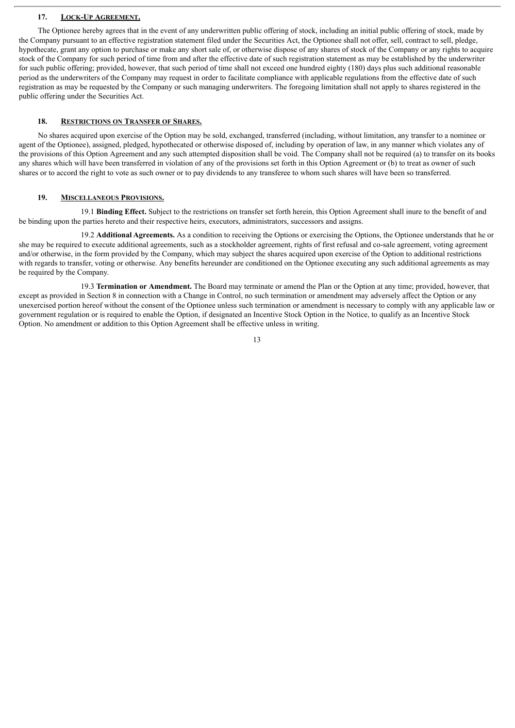#### **17. LOCK-UP AGREEMENT.**

The Optionee hereby agrees that in the event of any underwritten public offering of stock, including an initial public offering of stock, made by the Company pursuant to an effective registration statement filed under the Securities Act, the Optionee shall not offer, sell, contract to sell, pledge, hypothecate, grant any option to purchase or make any short sale of, or otherwise dispose of any shares of stock of the Company or any rights to acquire stock of the Company for such period of time from and after the effective date of such registration statement as may be established by the underwriter for such public offering; provided, however, that such period of time shall not exceed one hundred eighty (180) days plus such additional reasonable period as the underwriters of the Company may request in order to facilitate compliance with applicable regulations from the effective date of such registration as may be requested by the Company or such managing underwriters. The foregoing limitation shall not apply to shares registered in the public offering under the Securities Act.

## **18. RESTRICTIONS ON TRANSFER OF SHARES.**

No shares acquired upon exercise of the Option may be sold, exchanged, transferred (including, without limitation, any transfer to a nominee or agent of the Optionee), assigned, pledged, hypothecated or otherwise disposed of, including by operation of law, in any manner which violates any of the provisions of this Option Agreement and any such attempted disposition shall be void. The Company shall not be required (a) to transfer on its books any shares which will have been transferred in violation of any of the provisions set forth in this Option Agreement or (b) to treat as owner of such shares or to accord the right to vote as such owner or to pay dividends to any transferee to whom such shares will have been so transferred.

#### **19. MISCELLANEOUS PROVISIONS.**

19.1 **Binding Effect.** Subject to the restrictions on transfer set forth herein, this Option Agreement shall inure to the benefit of and be binding upon the parties hereto and their respective heirs, executors, administrators, successors and assigns.

19.2 **Additional Agreements.** As a condition to receiving the Options or exercising the Options, the Optionee understands that he or she may be required to execute additional agreements, such as a stockholder agreement, rights of first refusal and co-sale agreement, voting agreement and/or otherwise, in the form provided by the Company, which may subject the shares acquired upon exercise of the Option to additional restrictions with regards to transfer, voting or otherwise. Any benefits hereunder are conditioned on the Optionee executing any such additional agreements as may be required by the Company.

19.3 **Termination or Amendment.** The Board may terminate or amend the Plan or the Option at any time; provided, however, that except as provided in Section 8 in connection with a Change in Control, no such termination or amendment may adversely affect the Option or any unexercised portion hereof without the consent of the Optionee unless such termination or amendment is necessary to comply with any applicable law or government regulation or is required to enable the Option, if designated an Incentive Stock Option in the Notice, to qualify as an Incentive Stock Option. No amendment or addition to this Option Agreement shall be effective unless in writing.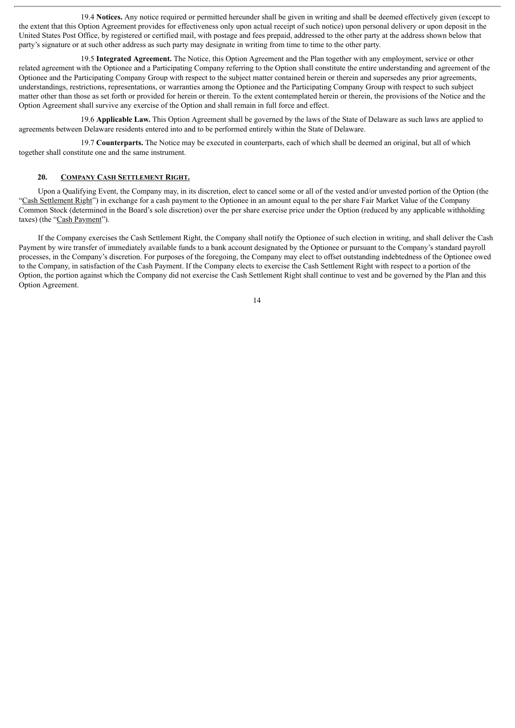19.4 **Notices.** Any notice required or permitted hereunder shall be given in writing and shall be deemed effectively given (except to the extent that this Option Agreement provides for effectiveness only upon actual receipt of such notice) upon personal delivery or upon deposit in the United States Post Office, by registered or certified mail, with postage and fees prepaid, addressed to the other party at the address shown below that party's signature or at such other address as such party may designate in writing from time to time to the other party.

19.5 **Integrated Agreement.** The Notice, this Option Agreement and the Plan together with any employment, service or other related agreement with the Optionee and a Participating Company referring to the Option shall constitute the entire understanding and agreement of the Optionee and the Participating Company Group with respect to the subject matter contained herein or therein and supersedes any prior agreements, understandings, restrictions, representations, or warranties among the Optionee and the Participating Company Group with respect to such subject matter other than those as set forth or provided for herein or therein. To the extent contemplated herein or therein, the provisions of the Notice and the Option Agreement shall survive any exercise of the Option and shall remain in full force and effect.

19.6 **Applicable Law.** This Option Agreement shall be governed by the laws of the State of Delaware as such laws are applied to agreements between Delaware residents entered into and to be performed entirely within the State of Delaware.

19.7 **Counterparts.** The Notice may be executed in counterparts, each of which shall be deemed an original, but all of which together shall constitute one and the same instrument.

#### **20. COMPANY CASH SETTLEMENT RIGHT.**

Upon a Qualifying Event, the Company may, in its discretion, elect to cancel some or all of the vested and/or unvested portion of the Option (the "Cash Settlement Right") in exchange for a cash payment to the Optionee in an amount equal to the per share Fair Market Value of the Company Common Stock (determined in the Board's sole discretion) over the per share exercise price under the Option (reduced by any applicable withholding taxes) (the "Cash Payment").

If the Company exercises the Cash Settlement Right, the Company shall notify the Optionee of such election in writing, and shall deliver the Cash Payment by wire transfer of immediately available funds to a bank account designated by the Optionee or pursuant to the Company's standard payroll processes, in the Company's discretion. For purposes of the foregoing, the Company may elect to offset outstanding indebtedness of the Optionee owed to the Company, in satisfaction of the Cash Payment. If the Company elects to exercise the Cash Settlement Right with respect to a portion of the Option, the portion against which the Company did not exercise the Cash Settlement Right shall continue to vest and be governed by the Plan and this Option Agreement.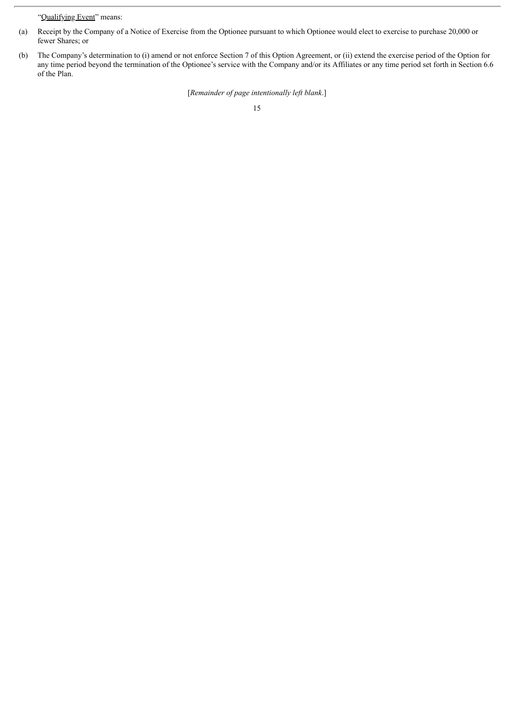"Qualifying Event" means:

- (a) Receipt by the Company of a Notice of Exercise from the Optionee pursuant to which Optionee would elect to exercise to purchase 20,000 or fewer Shares; or
- (b) The Company's determination to (i) amend or not enforce Section 7 of this Option Agreement, or (ii) extend the exercise period of the Option for any time period beyond the termination of the Optionee's service with the Company and/or its Affiliates or any time period set forth in Section 6.6 of the Plan.

[*Remainder of page intentionally left blank*.]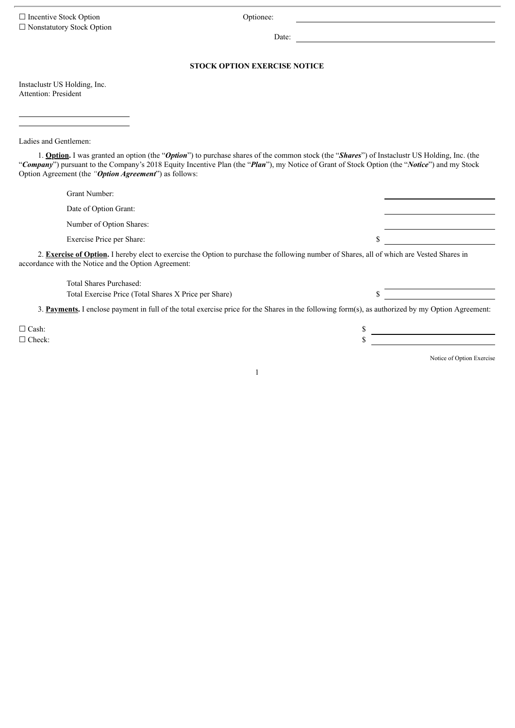□ Incentive Stock Option Optionee: ☐ Nonstatutory Stock Option

Date:

## **STOCK OPTION EXERCISE NOTICE**

Instaclustr US Holding, Inc. Attention: President

Ladies and Gentlemen:

1. **Option.** I was granted an option (the "*Option*") to purchase shares of the common stock (the "*Shares*") of Instaclustr US Holding, Inc. (the "*Company*") pursuant to the Company's 2018 Equity Incentive Plan (the "*Plan*"), my Notice of Grant of Stock Option (the "*Notice*") and my Stock Option Agreement (the *"Option Agreement*") as follows:

| Grant Number:                                                                                                                                                                                             |  |  |  |  |
|-----------------------------------------------------------------------------------------------------------------------------------------------------------------------------------------------------------|--|--|--|--|
| Date of Option Grant:                                                                                                                                                                                     |  |  |  |  |
| Number of Option Shares:                                                                                                                                                                                  |  |  |  |  |
| Exercise Price per Share:                                                                                                                                                                                 |  |  |  |  |
| 2. <b>Exercise of Option.</b> I hereby elect to exercise the Option to purchase the following number of Shares, all of which are Vested Shares in<br>accordance with the Notice and the Option Agreement: |  |  |  |  |
| Total Shares Purchased:                                                                                                                                                                                   |  |  |  |  |
| Total Exercise Price (Total Shares X Price per Share)                                                                                                                                                     |  |  |  |  |

3. **Payments.** I enclose payment in full of the total exercise price for the Shares in the following form(s), as authorized by my Option Agreement:

1

 $\Box$  Cash:  $\Box$  $\Box$  Check:  $\S$ 

<u> 1989 - Johann Stoff, deutscher Stoffen und der Stoffen und der Stoffen und der Stoffen und der Stoffen und der</u>

Notice of Option Exercise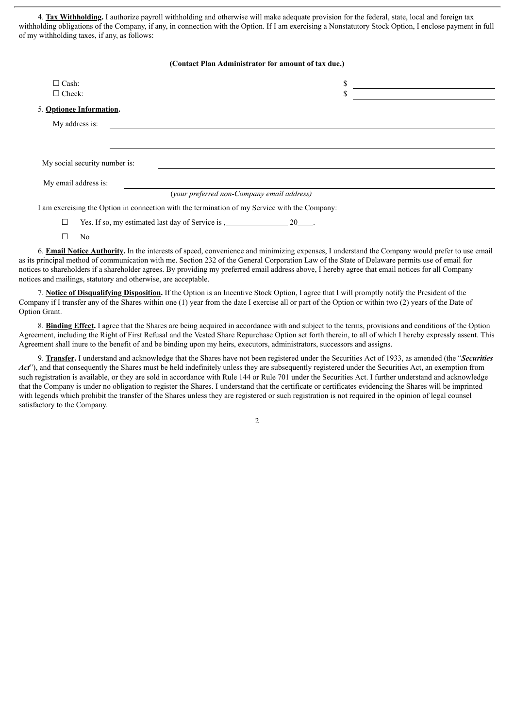4. **Tax Withholding.** I authorize payroll withholding and otherwise will make adequate provision for the federal, state, local and foreign tax withholding obligations of the Company, if any, in connection with the Option. If I am exercising a Nonstatutory Stock Option, I enclose payment in full of my withholding taxes, if any, as follows:

| (Contact Plan Administrator for amount of tax due.)                                           |                                                                  |  |  |
|-----------------------------------------------------------------------------------------------|------------------------------------------------------------------|--|--|
| $\Box$ Cash:<br>$\Box$ Check:                                                                 | \$<br>\$                                                         |  |  |
| 5. Optionee Information.                                                                      |                                                                  |  |  |
| My address is:                                                                                |                                                                  |  |  |
|                                                                                               |                                                                  |  |  |
| My social security number is:                                                                 |                                                                  |  |  |
| My email address is:                                                                          |                                                                  |  |  |
|                                                                                               | (your preferred non-Company email address)                       |  |  |
| I am exercising the Option in connection with the termination of my Service with the Company: |                                                                  |  |  |
| ⊔                                                                                             | Yes. If so, my estimated last day of Service is $\frac{1}{2}$ 20 |  |  |

6. **Email Notice Authority.** In the interests of speed, convenience and minimizing expenses, I understand the Company would prefer to use email as its principal method of communication with me. Section 232 of the General Corporation Law of the State of Delaware permits use of email for notices to shareholders if a shareholder agrees. By providing my preferred email address above, I hereby agree that email notices for all Company notices and mailings, statutory and otherwise, are acceptable.

7. **Notice of Disqualifying Disposition.** If the Option is an Incentive Stock Option, I agree that I will promptly notify the President of the Company if I transfer any of the Shares within one (1) year from the date I exercise all or part of the Option or within two (2) years of the Date of Option Grant.

☐ No

8. **Binding Effect.** I agree that the Shares are being acquired in accordance with and subject to the terms, provisions and conditions of the Option Agreement, including the Right of First Refusal and the Vested Share Repurchase Option set forth therein, to all of which I hereby expressly assent. This Agreement shall inure to the benefit of and be binding upon my heirs, executors, administrators, successors and assigns.

9. **Transfer.** I understand and acknowledge that the Shares have not been registered under the Securities Act of 1933, as amended (the "*Securities Act*"), and that consequently the Shares must be held indefinitely unless they are subsequently registered under the Securities Act, an exemption from such registration is available, or they are sold in accordance with Rule 144 or Rule 701 under the Securities Act. I further understand and acknowledge that the Company is under no obligation to register the Shares. I understand that the certificate or certificates evidencing the Shares will be imprinted with legends which prohibit the transfer of the Shares unless they are registered or such registration is not required in the opinion of legal counsel satisfactory to the Company.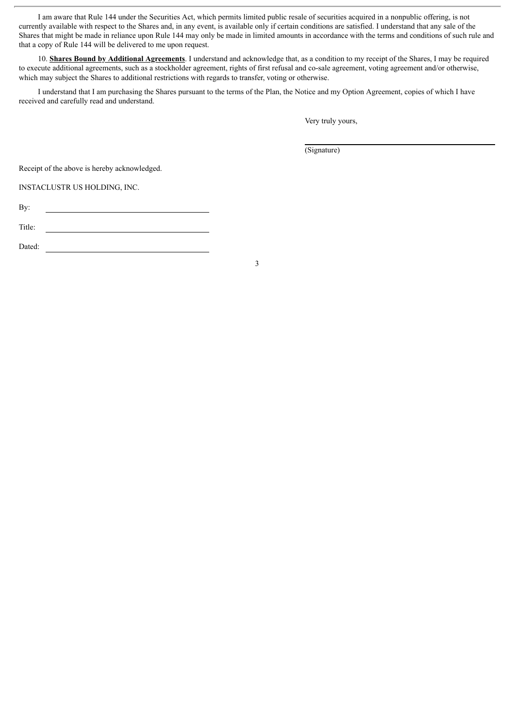I am aware that Rule 144 under the Securities Act, which permits limited public resale of securities acquired in a nonpublic offering, is not currently available with respect to the Shares and, in any event, is available only if certain conditions are satisfied. I understand that any sale of the Shares that might be made in reliance upon Rule 144 may only be made in limited amounts in accordance with the terms and conditions of such rule and that a copy of Rule 144 will be delivered to me upon request.

10. **Shares Bound by Additional Agreements**. I understand and acknowledge that, as a condition to my receipt of the Shares, I may be required to execute additional agreements, such as a stockholder agreement, rights of first refusal and co-sale agreement, voting agreement and/or otherwise, which may subject the Shares to additional restrictions with regards to transfer, voting or otherwise.

I understand that I am purchasing the Shares pursuant to the terms of the Plan, the Notice and my Option Agreement, copies of which I have received and carefully read and understand.

Very truly yours,

(Signature)

Receipt of the above is hereby acknowledged.

INSTACLUSTR US HOLDING, INC.

By:

Title:

Dated:

<u> 1980 - Johann Barbara, martxa alemaniar a</u>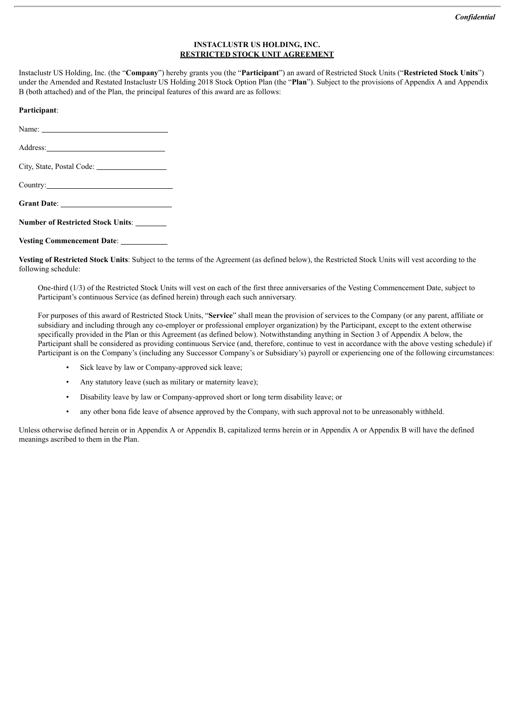## **INSTACLUSTR US HOLDING, INC. RESTRICTED STOCK UNIT AGREEMENT**

Instaclustr US Holding, Inc. (the "**Company**") hereby grants you (the "**Participant**") an award of Restricted Stock Units ("**Restricted Stock Units**") under the Amended and Restated Instaclustr US Holding 2018 Stock Option Plan (the "**Plan**"). Subject to the provisions of Appendix A and Appendix B (both attached) and of the Plan, the principal features of this award are as follows:

## **Participant**:

Name:

Address:

City, State, Postal Code:

Country:

**Grant Date**:

**Number of Restricted Stock Units**:

**Vesting Commencement Date**:

**Vesting of Restricted Stock Units**: Subject to the terms of the Agreement (as defined below), the Restricted Stock Units will vest according to the following schedule:

One-third (1/3) of the Restricted Stock Units will vest on each of the first three anniversaries of the Vesting Commencement Date, subject to Participant's continuous Service (as defined herein) through each such anniversary.

For purposes of this award of Restricted Stock Units, "**Service**" shall mean the provision of services to the Company (or any parent, affiliate or subsidiary and including through any co-employer or professional employer organization) by the Participant, except to the extent otherwise specifically provided in the Plan or this Agreement (as defined below). Notwithstanding anything in Section 3 of Appendix A below, the Participant shall be considered as providing continuous Service (and, therefore, continue to vest in accordance with the above vesting schedule) if Participant is on the Company's (including any Successor Company's or Subsidiary's) payroll or experiencing one of the following circumstances:

- Sick leave by law or Company-approved sick leave;
- Any statutory leave (such as military or maternity leave);
- Disability leave by law or Company-approved short or long term disability leave; or
- any other bona fide leave of absence approved by the Company, with such approval not to be unreasonably withheld.

Unless otherwise defined herein or in Appendix A or Appendix B, capitalized terms herein or in Appendix A or Appendix B will have the defined meanings ascribed to them in the Plan.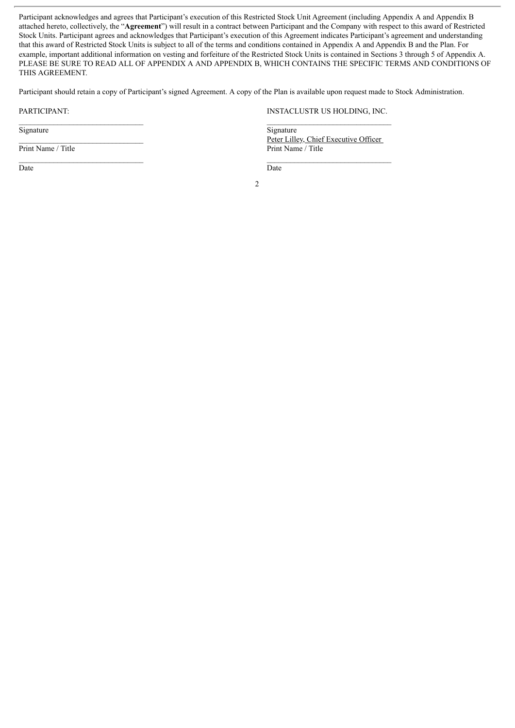Participant acknowledges and agrees that Participant's execution of this Restricted Stock Unit Agreement (including Appendix A and Appendix B attached hereto, collectively, the "**Agreement**") will result in a contract between Participant and the Company with respect to this award of Restricted Stock Units. Participant agrees and acknowledges that Participant's execution of this Agreement indicates Participant's agreement and understanding that this award of Restricted Stock Units is subject to all of the terms and conditions contained in Appendix A and Appendix B and the Plan. For example, important additional information on vesting and forfeiture of the Restricted Stock Units is contained in Sections 3 through 5 of Appendix A. PLEASE BE SURE TO READ ALL OF APPENDIX A AND APPENDIX B, WHICH CONTAINS THE SPECIFIC TERMS AND CONDITIONS OF THIS AGREEMENT.

Participant should retain a copy of Participant's signed Agreement. A copy of the Plan is available upon request made to Stock Administration.

 $\mathcal{L}_\text{max}$ 

\_\_\_\_\_\_\_\_\_\_\_\_\_\_\_\_\_\_\_\_\_\_\_\_\_\_\_\_\_\_\_\_

Signature

Print Name / Title

Date

#### PARTICIPANT: INSTACLUSTR US HOLDING, INC.  $\mathcal{L}_\text{max}$

**Signature** Peter Lilley, Chief Executive Officer Print Name / Title

Date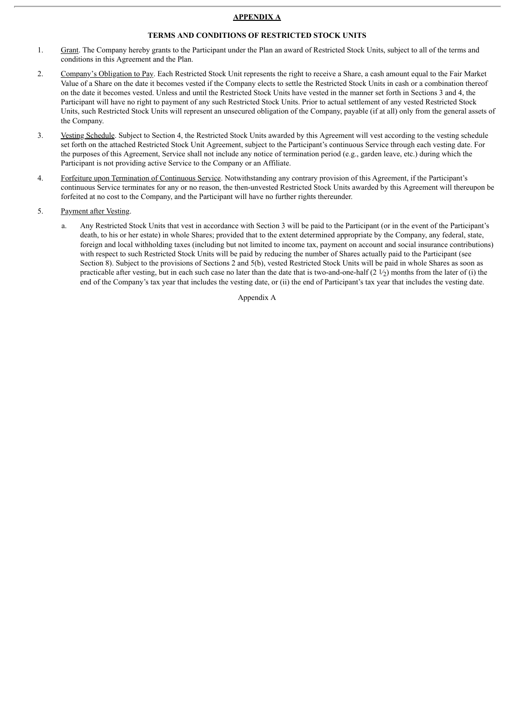#### **APPENDIX A**

## **TERMS AND CONDITIONS OF RESTRICTED STOCK UNITS**

- 1. Grant. The Company hereby grants to the Participant under the Plan an award of Restricted Stock Units, subject to all of the terms and conditions in this Agreement and the Plan.
- 2. Company's Obligation to Pay. Each Restricted Stock Unit represents the right to receive a Share, a cash amount equal to the Fair Market Value of a Share on the date it becomes vested if the Company elects to settle the Restricted Stock Units in cash or a combination thereof on the date it becomes vested. Unless and until the Restricted Stock Units have vested in the manner set forth in Sections 3 and 4, the Participant will have no right to payment of any such Restricted Stock Units. Prior to actual settlement of any vested Restricted Stock Units, such Restricted Stock Units will represent an unsecured obligation of the Company, payable (if at all) only from the general assets of the Company.
- 3. Vesting Schedule. Subject to Section 4, the Restricted Stock Units awarded by this Agreement will vest according to the vesting schedule set forth on the attached Restricted Stock Unit Agreement, subject to the Participant's continuous Service through each vesting date. For the purposes of this Agreement, Service shall not include any notice of termination period (e.g., garden leave, etc.) during which the Participant is not providing active Service to the Company or an Affiliate.
- 4. Forfeiture upon Termination of Continuous Service. Notwithstanding any contrary provision of this Agreement, if the Participant's continuous Service terminates for any or no reason, the then-unvested Restricted Stock Units awarded by this Agreement will thereupon be forfeited at no cost to the Company, and the Participant will have no further rights thereunder.
- 5. Payment after Vesting.
	- a. Any Restricted Stock Units that vest in accordance with Section 3 will be paid to the Participant (or in the event of the Participant's death, to his or her estate) in whole Shares; provided that to the extent determined appropriate by the Company, any federal, state, foreign and local withholding taxes (including but not limited to income tax, payment on account and social insurance contributions) with respect to such Restricted Stock Units will be paid by reducing the number of Shares actually paid to the Participant (see Section 8). Subject to the provisions of Sections 2 and 5(b), vested Restricted Stock Units will be paid in whole Shares as soon as practicable after vesting, but in each such case no later than the date that is two-and-one-half  $(2 \frac{1}{2})$  months from the later of (i) the end of the Company's tax year that includes the vesting date, or (ii) the end of Participant's tax year that includes the vesting date.

Appendix A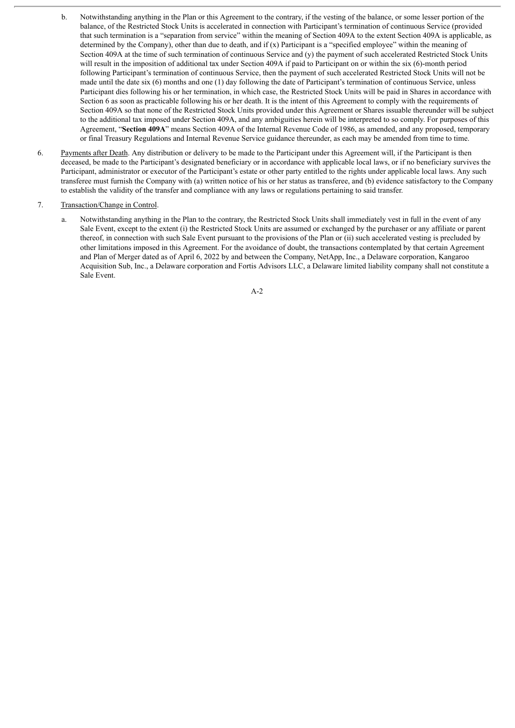- b. Notwithstanding anything in the Plan or this Agreement to the contrary, if the vesting of the balance, or some lesser portion of the balance, of the Restricted Stock Units is accelerated in connection with Participant's termination of continuous Service (provided that such termination is a "separation from service" within the meaning of Section 409A to the extent Section 409A is applicable, as determined by the Company), other than due to death, and if (x) Participant is a "specified employee" within the meaning of Section 409A at the time of such termination of continuous Service and (y) the payment of such accelerated Restricted Stock Units will result in the imposition of additional tax under Section 409A if paid to Participant on or within the six (6)-month period following Participant's termination of continuous Service, then the payment of such accelerated Restricted Stock Units will not be made until the date six (6) months and one (1) day following the date of Participant's termination of continuous Service, unless Participant dies following his or her termination, in which case, the Restricted Stock Units will be paid in Shares in accordance with Section 6 as soon as practicable following his or her death. It is the intent of this Agreement to comply with the requirements of Section 409A so that none of the Restricted Stock Units provided under this Agreement or Shares issuable thereunder will be subject to the additional tax imposed under Section 409A, and any ambiguities herein will be interpreted to so comply. For purposes of this Agreement, "**Section 409A**" means Section 409A of the Internal Revenue Code of 1986, as amended, and any proposed, temporary or final Treasury Regulations and Internal Revenue Service guidance thereunder, as each may be amended from time to time.
- 6. Payments after Death. Any distribution or delivery to be made to the Participant under this Agreement will, if the Participant is then deceased, be made to the Participant's designated beneficiary or in accordance with applicable local laws, or if no beneficiary survives the Participant, administrator or executor of the Participant's estate or other party entitled to the rights under applicable local laws. Any such transferee must furnish the Company with (a) written notice of his or her status as transferee, and (b) evidence satisfactory to the Company to establish the validity of the transfer and compliance with any laws or regulations pertaining to said transfer.

#### 7. Transaction/Change in Control.

a. Notwithstanding anything in the Plan to the contrary, the Restricted Stock Units shall immediately vest in full in the event of any Sale Event, except to the extent (i) the Restricted Stock Units are assumed or exchanged by the purchaser or any affiliate or parent thereof, in connection with such Sale Event pursuant to the provisions of the Plan or (ii) such accelerated vesting is precluded by other limitations imposed in this Agreement. For the avoidance of doubt, the transactions contemplated by that certain Agreement and Plan of Merger dated as of April 6, 2022 by and between the Company, NetApp, Inc., a Delaware corporation, Kangaroo Acquisition Sub, Inc., a Delaware corporation and Fortis Advisors LLC, a Delaware limited liability company shall not constitute a Sale Event.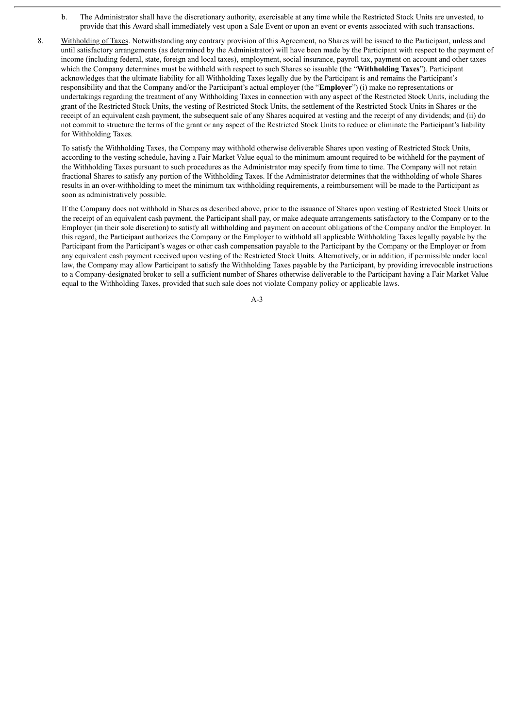- b. The Administrator shall have the discretionary authority, exercisable at any time while the Restricted Stock Units are unvested, to provide that this Award shall immediately vest upon a Sale Event or upon an event or events associated with such transactions.
- 8. Withholding of Taxes. Notwithstanding any contrary provision of this Agreement, no Shares will be issued to the Participant, unless and until satisfactory arrangements (as determined by the Administrator) will have been made by the Participant with respect to the payment of income (including federal, state, foreign and local taxes), employment, social insurance, payroll tax, payment on account and other taxes which the Company determines must be withheld with respect to such Shares so issuable (the "**Withholding Taxes**"). Participant acknowledges that the ultimate liability for all Withholding Taxes legally due by the Participant is and remains the Participant's responsibility and that the Company and/or the Participant's actual employer (the "**Employer**") (i) make no representations or undertakings regarding the treatment of any Withholding Taxes in connection with any aspect of the Restricted Stock Units, including the grant of the Restricted Stock Units, the vesting of Restricted Stock Units, the settlement of the Restricted Stock Units in Shares or the receipt of an equivalent cash payment, the subsequent sale of any Shares acquired at vesting and the receipt of any dividends; and (ii) do not commit to structure the terms of the grant or any aspect of the Restricted Stock Units to reduce or eliminate the Participant's liability for Withholding Taxes.

To satisfy the Withholding Taxes, the Company may withhold otherwise deliverable Shares upon vesting of Restricted Stock Units, according to the vesting schedule, having a Fair Market Value equal to the minimum amount required to be withheld for the payment of the Withholding Taxes pursuant to such procedures as the Administrator may specify from time to time. The Company will not retain fractional Shares to satisfy any portion of the Withholding Taxes. If the Administrator determines that the withholding of whole Shares results in an over-withholding to meet the minimum tax withholding requirements, a reimbursement will be made to the Participant as soon as administratively possible.

If the Company does not withhold in Shares as described above, prior to the issuance of Shares upon vesting of Restricted Stock Units or the receipt of an equivalent cash payment, the Participant shall pay, or make adequate arrangements satisfactory to the Company or to the Employer (in their sole discretion) to satisfy all withholding and payment on account obligations of the Company and/or the Employer. In this regard, the Participant authorizes the Company or the Employer to withhold all applicable Withholding Taxes legally payable by the Participant from the Participant's wages or other cash compensation payable to the Participant by the Company or the Employer or from any equivalent cash payment received upon vesting of the Restricted Stock Units. Alternatively, or in addition, if permissible under local law, the Company may allow Participant to satisfy the Withholding Taxes payable by the Participant, by providing irrevocable instructions to a Company-designated broker to sell a sufficient number of Shares otherwise deliverable to the Participant having a Fair Market Value equal to the Withholding Taxes, provided that such sale does not violate Company policy or applicable laws.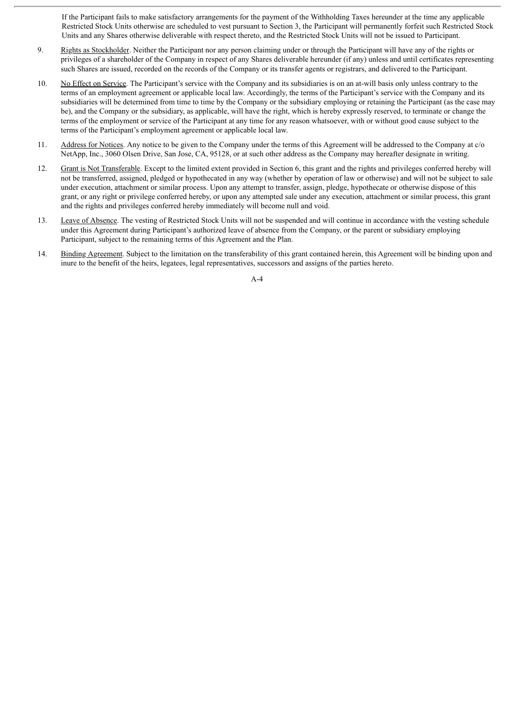If the Participant fails to make satisfactory arrangements for the payment of the Withholding Taxes hereunder at the time any applicable Restricted Stock Units otherwise are scheduled to vest pursuant to Section 3, the Participant will permanently forfeit such Restricted Stock Units and any Shares otherwise deliverable with respect thereto, and the Restricted Stock Units will not be issued to Participant.

- 9. Rights as Stockholder. Neither the Participant nor any person claiming under or through the Participant will have any of the rights or privileges of a shareholder of the Company in respect of any Shares deliverable hereunder (if any) unless and until certificates representing such Shares are issued, recorded on the records of the Company or its transfer agents or registrars, and delivered to the Participant.
- 10. No Effect on Service. The Participant's service with the Company and its subsidiaries is on an at-will basis only unless contrary to the terms of an employment agreement or applicable local law. Accordingly, the terms of the Participant's service with the Company and its subsidiaries will be determined from time to time by the Company or the subsidiary employing or retaining the Participant (as the case may be), and the Company or the subsidiary, as applicable, will have the right, which is hereby expressly reserved, to terminate or change the terms of the employment or service of the Participant at any time for any reason whatsoever, with or without good cause subject to the terms of the Participant's employment agreement or applicable local law.
- 11. Address for Notices. Any notice to be given to the Company under the terms of this Agreement will be addressed to the Company at c/o NetApp, Inc., 3060 Olsen Drive, San Jose, CA, 95128, or at such other address as the Company may hereafter designate in writing.
- 12. Grant is Not Transferable. Except to the limited extent provided in Section 6, this grant and the rights and privileges conferred hereby will not be transferred, assigned, pledged or hypothecated in any way (whether by operation of law or otherwise) and will not be subject to sale under execution, attachment or similar process. Upon any attempt to transfer, assign, pledge, hypothecate or otherwise dispose of this grant, or any right or privilege conferred hereby, or upon any attempted sale under any execution, attachment or similar process, this grant and the rights and privileges conferred hereby immediately will become null and void.
- 13. Leave of Absence. The vesting of Restricted Stock Units will not be suspended and will continue in accordance with the vesting schedule under this Agreement during Participant's authorized leave of absence from the Company, or the parent or subsidiary employing Participant, subject to the remaining terms of this Agreement and the Plan.
- 14. Binding Agreement. Subject to the limitation on the transferability of this grant contained herein, this Agreement will be binding upon and inure to the benefit of the heirs, legatees, legal representatives, successors and assigns of the parties hereto.

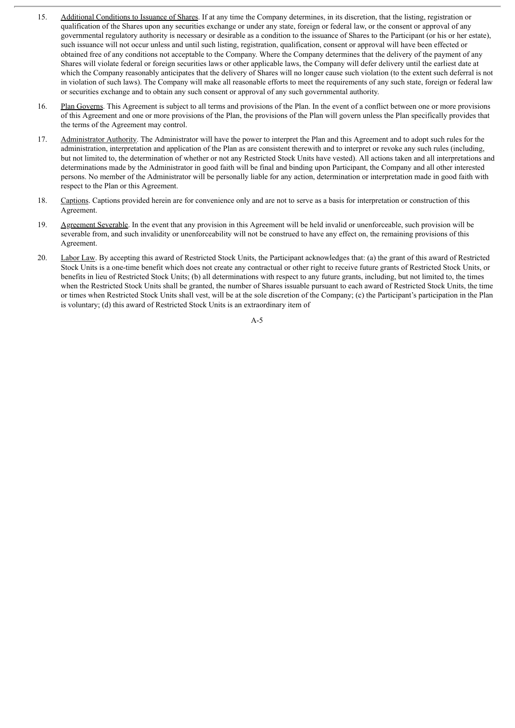- 15. Additional Conditions to Issuance of Shares. If at any time the Company determines, in its discretion, that the listing, registration or qualification of the Shares upon any securities exchange or under any state, foreign or federal law, or the consent or approval of any governmental regulatory authority is necessary or desirable as a condition to the issuance of Shares to the Participant (or his or her estate), such issuance will not occur unless and until such listing, registration, qualification, consent or approval will have been effected or obtained free of any conditions not acceptable to the Company. Where the Company determines that the delivery of the payment of any Shares will violate federal or foreign securities laws or other applicable laws, the Company will defer delivery until the earliest date at which the Company reasonably anticipates that the delivery of Shares will no longer cause such violation (to the extent such deferral is not in violation of such laws). The Company will make all reasonable efforts to meet the requirements of any such state, foreign or federal law or securities exchange and to obtain any such consent or approval of any such governmental authority.
- 16. Plan Governs. This Agreement is subject to all terms and provisions of the Plan. In the event of a conflict between one or more provisions of this Agreement and one or more provisions of the Plan, the provisions of the Plan will govern unless the Plan specifically provides that the terms of the Agreement may control.
- 17. Administrator Authority. The Administrator will have the power to interpret the Plan and this Agreement and to adopt such rules for the administration, interpretation and application of the Plan as are consistent therewith and to interpret or revoke any such rules (including, but not limited to, the determination of whether or not any Restricted Stock Units have vested). All actions taken and all interpretations and determinations made by the Administrator in good faith will be final and binding upon Participant, the Company and all other interested persons. No member of the Administrator will be personally liable for any action, determination or interpretation made in good faith with respect to the Plan or this Agreement.
- 18. Captions. Captions provided herein are for convenience only and are not to serve as a basis for interpretation or construction of this Agreement.
- 19. Agreement Severable. In the event that any provision in this Agreement will be held invalid or unenforceable, such provision will be severable from, and such invalidity or unenforceability will not be construed to have any effect on, the remaining provisions of this Agreement.
- 20. Labor Law. By accepting this award of Restricted Stock Units, the Participant acknowledges that: (a) the grant of this award of Restricted Stock Units is a one-time benefit which does not create any contractual or other right to receive future grants of Restricted Stock Units, or benefits in lieu of Restricted Stock Units; (b) all determinations with respect to any future grants, including, but not limited to, the times when the Restricted Stock Units shall be granted, the number of Shares issuable pursuant to each award of Restricted Stock Units, the time or times when Restricted Stock Units shall vest, will be at the sole discretion of the Company; (c) the Participant's participation in the Plan is voluntary; (d) this award of Restricted Stock Units is an extraordinary item of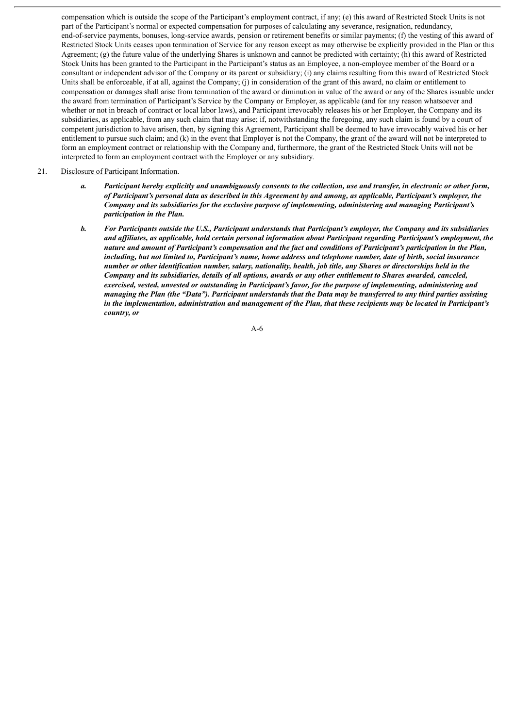compensation which is outside the scope of the Participant's employment contract, if any; (e) this award of Restricted Stock Units is not part of the Participant's normal or expected compensation for purposes of calculating any severance, resignation, redundancy, end-of-service payments, bonuses, long-service awards, pension or retirement benefits or similar payments; (f) the vesting of this award of Restricted Stock Units ceases upon termination of Service for any reason except as may otherwise be explicitly provided in the Plan or this Agreement; (g) the future value of the underlying Shares is unknown and cannot be predicted with certainty; (h) this award of Restricted Stock Units has been granted to the Participant in the Participant's status as an Employee, a non-employee member of the Board or a consultant or independent advisor of the Company or its parent or subsidiary; (i) any claims resulting from this award of Restricted Stock Units shall be enforceable, if at all, against the Company; (j) in consideration of the grant of this award, no claim or entitlement to compensation or damages shall arise from termination of the award or diminution in value of the award or any of the Shares issuable under the award from termination of Participant's Service by the Company or Employer, as applicable (and for any reason whatsoever and whether or not in breach of contract or local labor laws), and Participant irrevocably releases his or her Employer, the Company and its subsidiaries, as applicable, from any such claim that may arise; if, notwithstanding the foregoing, any such claim is found by a court of competent jurisdiction to have arisen, then, by signing this Agreement, Participant shall be deemed to have irrevocably waived his or her entitlement to pursue such claim; and (k) in the event that Employer is not the Company, the grant of the award will not be interpreted to form an employment contract or relationship with the Company and, furthermore, the grant of the Restricted Stock Units will not be interpreted to form an employment contract with the Employer or any subsidiary.

#### 21. Disclosure of Participant Information.

- a. Participant hereby explicitly and unambiguously consents to the collection, use and transfer, in electronic or other form, of Participant's personal data as described in this Agreement by and among, as applicable, Participant's employer, the *Company and its subsidiaries for the exclusive purpose of implementing, administering and managing Participant's participation in the Plan.*
- b. For Participants outside the U.S., Participant understands that Participant's employer, the Company and its subsidiaries and affiliates, as applicable, hold certain personal information about Participant regarding Participant's employment, the nature and amount of Participant's compensation and the fact and conditions of Participant's participation in the Plan, including, but not limited to, Participant's name, home address and telephone number, date of birth, social insurance number or other identification number, salary, nationality, health, job title, any Shares or directorships held in the Company and its subsidiaries, details of all options, awards or any other entitlement to Shares awarded, canceled, *exercised, vested, unvested or outstanding in Participant's favor, for the purpose of implementing, administering and* managing the Plan (the "Data"). Participant understands that the Data may be transferred to any third parties assisting in the implementation, administration and management of the Plan, that these recipients may be located in Participant's *country, or*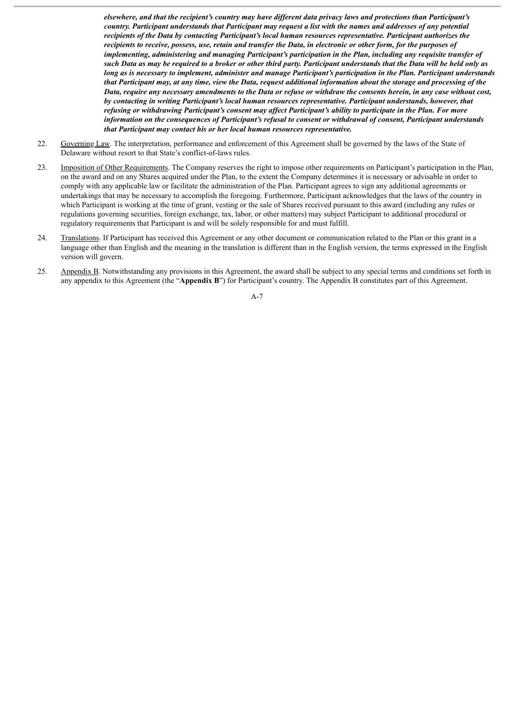elsewhere, and that the recipient's country may have different data privacy laws and protections than Participant's country. Participant understands that Participant may request a list with the names and addresses of any potential *recipients of the Data by contacting Participant's local human resources representative. Participant authorizes the* recipients to receive, possess, use, retain and transfer the Data, in electronic or other form, for the purposes of *implementing, administering and managing Participant's participation in the Plan, including any requisite transfer of* such Data as may be required to a broker or other third party. Participant understands that the Data will be held only as long as is necessary to implement, administer and manage Participant's participation in the Plan. Participant understands that Participant may, at any time, view the Data, request additional information about the storage and processing of the Data, require any necessary amendments to the Data or refuse or withdraw the consents herein, in any case without cost, *by contacting in writing Participant's local human resources representative. Participant understands, however, that* refusing or withdrawing Participant's consent may affect Participant's ability to participate in the Plan. For more *information on the consequences of Participant's refusal to consent or withdrawal of consent, Participant understands that Participant may contact his or her local human resources representative.*

- 22. Governing Law. The interpretation, performance and enforcement of this Agreement shall be governed by the laws of the State of Delaware without resort to that State's conflict-of-laws rules.
- 23. Imposition of Other Requirements. The Company reserves the right to impose other requirements on Participant's participation in the Plan, on the award and on any Shares acquired under the Plan, to the extent the Company determines it is necessary or advisable in order to comply with any applicable law or facilitate the administration of the Plan. Participant agrees to sign any additional agreements or undertakings that may be necessary to accomplish the foregoing. Furthermore, Participant acknowledges that the laws of the country in which Participant is working at the time of grant, vesting or the sale of Shares received pursuant to this award (including any rules or regulations governing securities, foreign exchange, tax, labor, or other matters) may subject Participant to additional procedural or regulatory requirements that Participant is and will be solely responsible for and must fulfill.
- 24. Translations. If Participant has received this Agreement or any other document or communication related to the Plan or this grant in a language other than English and the meaning in the translation is different than in the English version, the terms expressed in the English version will govern.
- 25. Appendix B. Notwithstanding any provisions in this Agreement, the award shall be subject to any special terms and conditions set forth in any appendix to this Agreement (the "**Appendix B**") for Participant's country. The Appendix B constitutes part of this Agreement.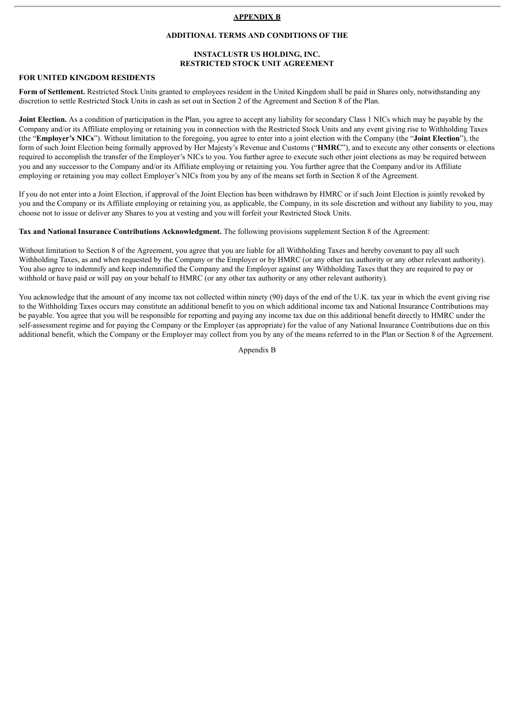#### **APPENDIX B**

#### **ADDITIONAL TERMS AND CONDITIONS OF THE**

## **INSTACLUSTR US HOLDING, INC. RESTRICTED STOCK UNIT AGREEMENT**

#### **FOR UNITED KINGDOM RESIDENTS**

**Form of Settlement.** Restricted Stock Units granted to employees resident in the United Kingdom shall be paid in Shares only, notwithstanding any discretion to settle Restricted Stock Units in cash as set out in Section 2 of the Agreement and Section 8 of the Plan.

**Joint Election.** As a condition of participation in the Plan, you agree to accept any liability for secondary Class 1 NICs which may be payable by the Company and/or its Affiliate employing or retaining you in connection with the Restricted Stock Units and any event giving rise to Withholding Taxes (the "**Employer's NICs**"). Without limitation to the foregoing, you agree to enter into a joint election with the Company (the "**Joint Election**"), the form of such Joint Election being formally approved by Her Majesty's Revenue and Customs ("**HMRC**"), and to execute any other consents or elections required to accomplish the transfer of the Employer's NICs to you. You further agree to execute such other joint elections as may be required between you and any successor to the Company and/or its Affiliate employing or retaining you. You further agree that the Company and/or its Affiliate employing or retaining you may collect Employer's NICs from you by any of the means set forth in Section 8 of the Agreement.

If you do not enter into a Joint Election, if approval of the Joint Election has been withdrawn by HMRC or if such Joint Election is jointly revoked by you and the Company or its Affiliate employing or retaining you, as applicable, the Company, in its sole discretion and without any liability to you, may choose not to issue or deliver any Shares to you at vesting and you will forfeit your Restricted Stock Units.

**Tax and National Insurance Contributions Acknowledgment.** The following provisions supplement Section 8 of the Agreement:

Without limitation to Section 8 of the Agreement, you agree that you are liable for all Withholding Taxes and hereby covenant to pay all such Withholding Taxes, as and when requested by the Company or the Employer or by HMRC (or any other tax authority or any other relevant authority). You also agree to indemnify and keep indemnified the Company and the Employer against any Withholding Taxes that they are required to pay or withhold or have paid or will pay on your behalf to HMRC (or any other tax authority or any other relevant authority).

You acknowledge that the amount of any income tax not collected within ninety (90) days of the end of the U.K. tax year in which the event giving rise to the Withholding Taxes occurs may constitute an additional benefit to you on which additional income tax and National Insurance Contributions may be payable. You agree that you will be responsible for reporting and paying any income tax due on this additional benefit directly to HMRC under the self-assessment regime and for paying the Company or the Employer (as appropriate) for the value of any National Insurance Contributions due on this additional benefit, which the Company or the Employer may collect from you by any of the means referred to in the Plan or Section 8 of the Agreement.

Appendix B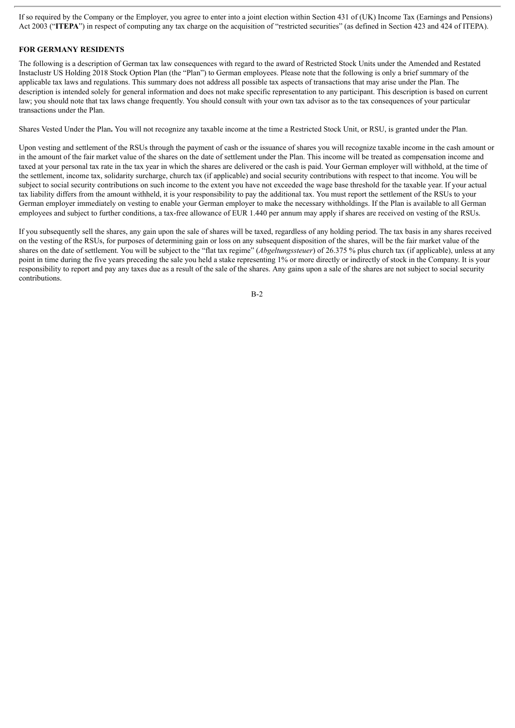If so required by the Company or the Employer, you agree to enter into a joint election within Section 431 of (UK) Income Tax (Earnings and Pensions) Act 2003 ("**ITEPA**") in respect of computing any tax charge on the acquisition of "restricted securities" (as defined in Section 423 and 424 of ITEPA).

## **FOR GERMANY RESIDENTS**

The following is a description of German tax law consequences with regard to the award of Restricted Stock Units under the Amended and Restated Instaclustr US Holding 2018 Stock Option Plan (the "Plan") to German employees. Please note that the following is only a brief summary of the applicable tax laws and regulations. This summary does not address all possible tax aspects of transactions that may arise under the Plan. The description is intended solely for general information and does not make specific representation to any participant. This description is based on current law; you should note that tax laws change frequently. You should consult with your own tax advisor as to the tax consequences of your particular transactions under the Plan.

Shares Vested Under the Plan**.** You will not recognize any taxable income at the time a Restricted Stock Unit, or RSU, is granted under the Plan.

Upon vesting and settlement of the RSUs through the payment of cash or the issuance of shares you will recognize taxable income in the cash amount or in the amount of the fair market value of the shares on the date of settlement under the Plan. This income will be treated as compensation income and taxed at your personal tax rate in the tax year in which the shares are delivered or the cash is paid. Your German employer will withhold, at the time of the settlement, income tax, solidarity surcharge, church tax (if applicable) and social security contributions with respect to that income. You will be subject to social security contributions on such income to the extent you have not exceeded the wage base threshold for the taxable year. If your actual tax liability differs from the amount withheld, it is your responsibility to pay the additional tax. You must report the settlement of the RSUs to your German employer immediately on vesting to enable your German employer to make the necessary withholdings. If the Plan is available to all German employees and subject to further conditions, a tax-free allowance of EUR 1.440 per annum may apply if shares are received on vesting of the RSUs.

If you subsequently sell the shares, any gain upon the sale of shares will be taxed, regardless of any holding period. The tax basis in any shares received on the vesting of the RSUs, for purposes of determining gain or loss on any subsequent disposition of the shares, will be the fair market value of the shares on the date of settlement. You will be subject to the "flat tax regime" (*Abgeltungssteuer*) of 26.375 % plus church tax (if applicable), unless at any point in time during the five years preceding the sale you held a stake representing 1% or more directly or indirectly of stock in the Company. It is your responsibility to report and pay any taxes due as a result of the sale of the shares. Any gains upon a sale of the shares are not subject to social security contributions.

B-2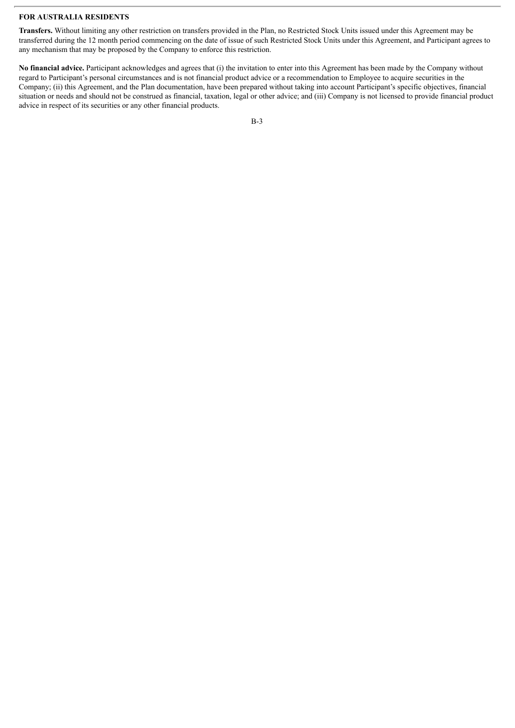#### **FOR AUSTRALIA RESIDENTS**

**Transfers.** Without limiting any other restriction on transfers provided in the Plan, no Restricted Stock Units issued under this Agreement may be transferred during the 12 month period commencing on the date of issue of such Restricted Stock Units under this Agreement, and Participant agrees to any mechanism that may be proposed by the Company to enforce this restriction.

**No financial advice.** Participant acknowledges and agrees that (i) the invitation to enter into this Agreement has been made by the Company without regard to Participant's personal circumstances and is not financial product advice or a recommendation to Employee to acquire securities in the Company; (ii) this Agreement, and the Plan documentation, have been prepared without taking into account Participant's specific objectives, financial situation or needs and should not be construed as financial, taxation, legal or other advice; and (iii) Company is not licensed to provide financial product advice in respect of its securities or any other financial products.